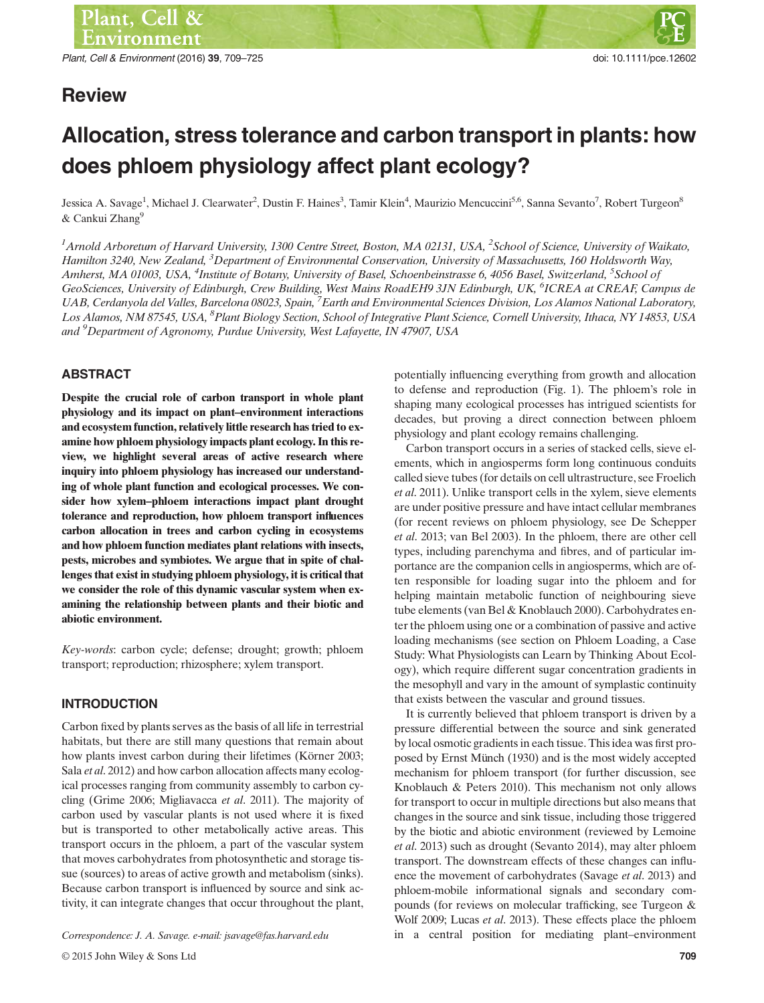# Allocation, stress tolerance and carbon transport in plants: how does phloem physiology affect plant ecology?

Jessica A. Savage<sup>1</sup>, Michael J. Clearwater<sup>2</sup>, Dustin F. Haines<sup>3</sup>, Tamir Klein<sup>4</sup>, Maurizio Mencuccini<sup>5,6</sup>, Sanna Sevanto<sup>7</sup>, Robert Turgeon<sup>8</sup> & Cankui Zhang9

<sup>1</sup> Arnold Arboretum of Harvard University, 1300 Centre Street, Boston, MA 02131, USA, <sup>2</sup>School of Science, University of Waikato, Hamilton 3240, New Zealand, <sup>3</sup>Department of Environmental Conservation, University of Massachusetts, 160 Holdsworth Way, Amherst, MA 01003, USA, <sup>4</sup>Institute of Botany, University of Basel, Schoenbeinstrasse 6, 4056 Basel, Switzerland, <sup>5</sup>School of GeoSciences, University of Edinburgh, Crew Building, West Mains RoadEH9 3JN Edinburgh, UK, <sup>6</sup>ICREA at CREAF, Campus de UAB, Cerdanyola del Valles, Barcelona 08023, Spain, <sup>7</sup> Earth and Environmental Sciences Division, Los Alamos National Laboratory, Los Alamos, NM 87545, USA, <sup>8</sup>Plant Biology Section, School of Integrative Plant Science, Cornell University, Ithaca, NY 14853, USA and <sup>9</sup>Department of Agronomy, Purdue University, West Lafayette, IN 47907, USA

## ABSTRACT

Despite the crucial role of carbon transport in whole plant physiology and its impact on plant–environment interactions and ecosystem function, relatively little research has tried to examine how phloem physiology impacts plant ecology. In this review, we highlight several areas of active research where inquiry into phloem physiology has increased our understanding of whole plant function and ecological processes. We consider how xylem–phloem interactions impact plant drought tolerance and reproduction, how phloem transport influences carbon allocation in trees and carbon cycling in ecosystems and how phloem function mediates plant relations with insects, pests, microbes and symbiotes. We argue that in spite of challenges that exist in studying phloem physiology, it is critical that we consider the role of this dynamic vascular system when examining the relationship between plants and their biotic and abiotic environment.

Key-words: carbon cycle; defense; drought; growth; phloem transport; reproduction; rhizosphere; xylem transport.

#### INTRODUCTION

Carbon fixed by plants serves as the basis of all life in terrestrial habitats, but there are still many questions that remain about how plants invest carbon during their lifetimes (Körner 2003; Sala *et al.* 2012) and how carbon allocation affects many ecological processes ranging from community assembly to carbon cycling (Grime 2006; Migliavacca et al. 2011). The majority of carbon used by vascular plants is not used where it is fixed but is transported to other metabolically active areas. This transport occurs in the phloem, a part of the vascular system that moves carbohydrates from photosynthetic and storage tissue (sources) to areas of active growth and metabolism (sinks). Because carbon transport is influenced by source and sink activity, it can integrate changes that occur throughout the plant,

© 2015 John Wiley & Sons Ltd 709 Correspondence: J. A. Savage. e-mail: jsavage@fas.harvard.edu

potentially influencing everything from growth and allocation to defense and reproduction (Fig. 1). The phloem's role in shaping many ecological processes has intrigued scientists for decades, but proving a direct connection between phloem physiology and plant ecology remains challenging.

Carbon transport occurs in a series of stacked cells, sieve elements, which in angiosperms form long continuous conduits called sieve tubes (for details on cell ultrastructure, see Froelich et al. 2011). Unlike transport cells in the xylem, sieve elements are under positive pressure and have intact cellular membranes (for recent reviews on phloem physiology, see De Schepper et al. 2013; van Bel 2003). In the phloem, there are other cell types, including parenchyma and fibres, and of particular importance are the companion cells in angiosperms, which are often responsible for loading sugar into the phloem and for helping maintain metabolic function of neighbouring sieve tube elements (van Bel & Knoblauch 2000). Carbohydrates enter the phloem using one or a combination of passive and active loading mechanisms (see section on Phloem Loading, a Case Study: What Physiologists can Learn by Thinking About Ecology), which require different sugar concentration gradients in the mesophyll and vary in the amount of symplastic continuity that exists between the vascular and ground tissues.

It is currently believed that phloem transport is driven by a pressure differential between the source and sink generated by local osmotic gradients in each tissue. This idea was first proposed by Ernst Münch (1930) and is the most widely accepted mechanism for phloem transport (for further discussion, see Knoblauch & Peters 2010). This mechanism not only allows for transport to occur in multiple directions but also means that changes in the source and sink tissue, including those triggered by the biotic and abiotic environment (reviewed by Lemoine et al. 2013) such as drought (Sevanto 2014), may alter phloem transport. The downstream effects of these changes can influence the movement of carbohydrates (Savage et al. 2013) and phloem-mobile informational signals and secondary compounds (for reviews on molecular trafficking, see Turgeon & Wolf 2009; Lucas et al. 2013). These effects place the phloem in a central position for mediating plant–environment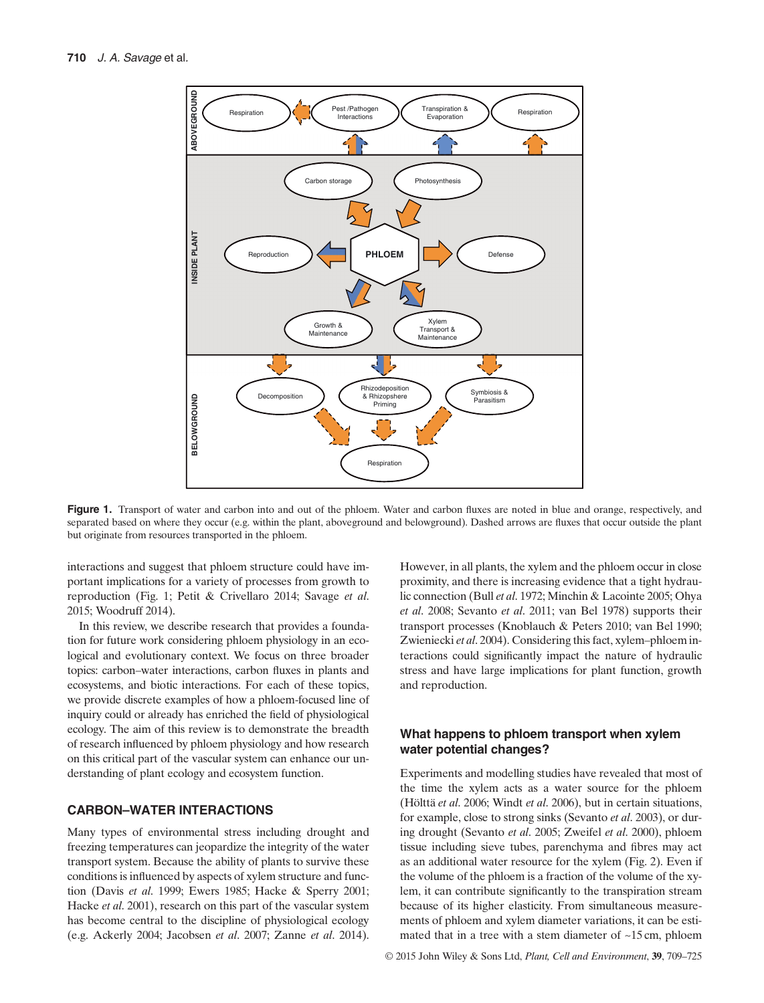

Figure 1. Transport of water and carbon into and out of the phloem. Water and carbon fluxes are noted in blue and orange, respectively, and separated based on where they occur (e.g. within the plant, aboveground and belowground). Dashed arrows are fluxes that occur outside the plant but originate from resources transported in the phloem.

interactions and suggest that phloem structure could have important implications for a variety of processes from growth to reproduction (Fig. 1; Petit & Crivellaro 2014; Savage et al. 2015; Woodruff 2014).

In this review, we describe research that provides a foundation for future work considering phloem physiology in an ecological and evolutionary context. We focus on three broader topics: carbon–water interactions, carbon fluxes in plants and ecosystems, and biotic interactions. For each of these topics, we provide discrete examples of how a phloem-focused line of inquiry could or already has enriched the field of physiological ecology. The aim of this review is to demonstrate the breadth of research influenced by phloem physiology and how research on this critical part of the vascular system can enhance our understanding of plant ecology and ecosystem function.

## CARBON–WATER INTERACTIONS

Many types of environmental stress including drought and freezing temperatures can jeopardize the integrity of the water transport system. Because the ability of plants to survive these conditions is influenced by aspects of xylem structure and function (Davis et al. 1999; Ewers 1985; Hacke & Sperry 2001; Hacke et al. 2001), research on this part of the vascular system has become central to the discipline of physiological ecology (e.g. Ackerly 2004; Jacobsen et al. 2007; Zanne et al. 2014). However, in all plants, the xylem and the phloem occur in close proximity, and there is increasing evidence that a tight hydraulic connection (Bull et al. 1972; Minchin & Lacointe 2005; Ohya et al. 2008; Sevanto et al. 2011; van Bel 1978) supports their transport processes (Knoblauch & Peters 2010; van Bel 1990; Zwieniecki et al. 2004). Considering this fact, xylem–phloem interactions could significantly impact the nature of hydraulic stress and have large implications for plant function, growth and reproduction.

#### What happens to phloem transport when xylem water potential changes?

Experiments and modelling studies have revealed that most of the time the xylem acts as a water source for the phloem (Hölttä et al. 2006; Windt et al. 2006), but in certain situations, for example, close to strong sinks (Sevanto et al. 2003), or during drought (Sevanto et al. 2005; Zweifel et al. 2000), phloem tissue including sieve tubes, parenchyma and fibres may act as an additional water resource for the xylem (Fig. 2). Even if the volume of the phloem is a fraction of the volume of the xylem, it can contribute significantly to the transpiration stream because of its higher elasticity. From simultaneous measurements of phloem and xylem diameter variations, it can be estimated that in a tree with a stem diameter of ~15 cm, phloem

© 2015 John Wiley & Sons Ltd, Plant, Cell and Environment, 39, 709–725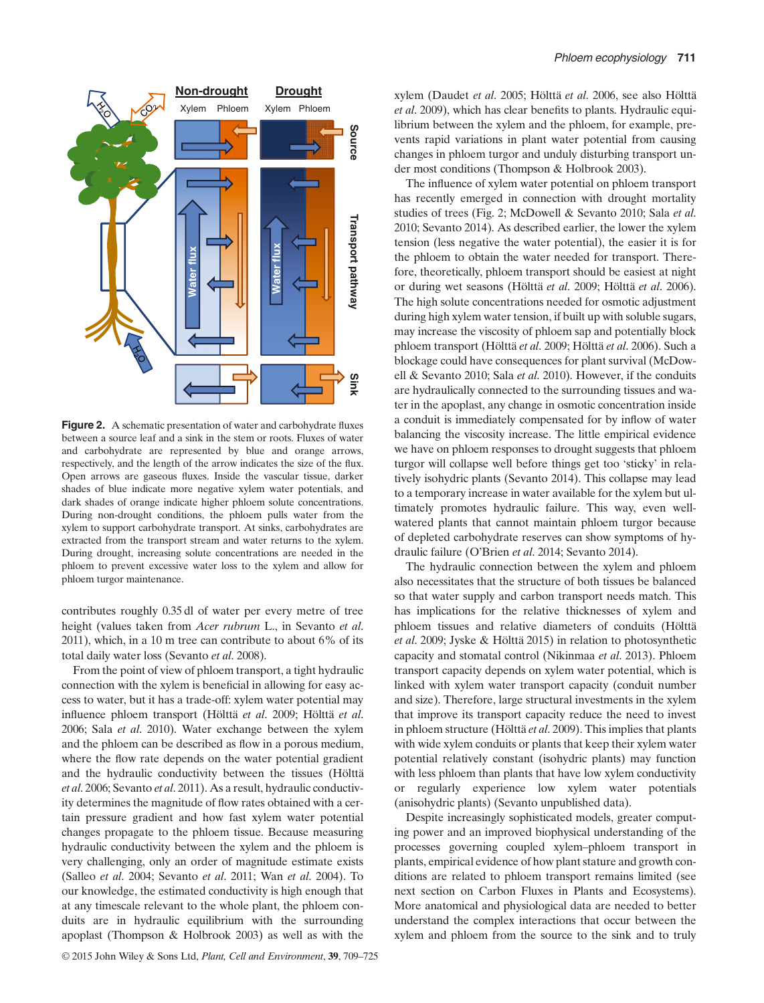

Figure 2. A schematic presentation of water and carbohydrate fluxes between a source leaf and a sink in the stem or roots. Fluxes of water and carbohydrate are represented by blue and orange arrows, respectively, and the length of the arrow indicates the size of the flux. Open arrows are gaseous fluxes. Inside the vascular tissue, darker shades of blue indicate more negative xylem water potentials, and dark shades of orange indicate higher phloem solute concentrations. During non-drought conditions, the phloem pulls water from the xylem to support carbohydrate transport. At sinks, carbohydrates are extracted from the transport stream and water returns to the xylem. During drought, increasing solute concentrations are needed in the phloem to prevent excessive water loss to the xylem and allow for phloem turgor maintenance.

contributes roughly 0.35 dl of water per every metre of tree height (values taken from Acer rubrum L., in Sevanto et al. 2011), which, in a 10 m tree can contribute to about 6% of its total daily water loss (Sevanto et al. 2008).

From the point of view of phloem transport, a tight hydraulic connection with the xylem is beneficial in allowing for easy access to water, but it has a trade-off: xylem water potential may influence phloem transport (Hölttä et al. 2009; Hölttä et al. 2006; Sala et al. 2010). Water exchange between the xylem and the phloem can be described as flow in a porous medium, where the flow rate depends on the water potential gradient and the hydraulic conductivity between the tissues (Hölttä et al. 2006; Sevanto et al. 2011). As a result, hydraulic conductivity determines the magnitude of flow rates obtained with a certain pressure gradient and how fast xylem water potential changes propagate to the phloem tissue. Because measuring hydraulic conductivity between the xylem and the phloem is very challenging, only an order of magnitude estimate exists (Salleo et al. 2004; Sevanto et al. 2011; Wan et al. 2004). To our knowledge, the estimated conductivity is high enough that at any timescale relevant to the whole plant, the phloem conduits are in hydraulic equilibrium with the surrounding apoplast (Thompson & Holbrook 2003) as well as with the

xylem (Daudet et al. 2005; Hölttä et al. 2006, see also Hölttä et al. 2009), which has clear benefits to plants. Hydraulic equilibrium between the xylem and the phloem, for example, prevents rapid variations in plant water potential from causing changes in phloem turgor and unduly disturbing transport under most conditions (Thompson & Holbrook 2003).

The influence of xylem water potential on phloem transport has recently emerged in connection with drought mortality studies of trees (Fig. 2; McDowell & Sevanto 2010; Sala et al. 2010; Sevanto 2014). As described earlier, the lower the xylem tension (less negative the water potential), the easier it is for the phloem to obtain the water needed for transport. Therefore, theoretically, phloem transport should be easiest at night or during wet seasons (Hölttä et al. 2009; Hölttä et al. 2006). The high solute concentrations needed for osmotic adjustment during high xylem water tension, if built up with soluble sugars, may increase the viscosity of phloem sap and potentially block phloem transport (Hölttä et al. 2009; Hölttä et al. 2006). Such a blockage could have consequences for plant survival (McDowell & Sevanto 2010; Sala et al. 2010). However, if the conduits are hydraulically connected to the surrounding tissues and water in the apoplast, any change in osmotic concentration inside a conduit is immediately compensated for by inflow of water balancing the viscosity increase. The little empirical evidence we have on phloem responses to drought suggests that phloem turgor will collapse well before things get too 'sticky' in relatively isohydric plants (Sevanto 2014). This collapse may lead to a temporary increase in water available for the xylem but ultimately promotes hydraulic failure. This way, even wellwatered plants that cannot maintain phloem turgor because of depleted carbohydrate reserves can show symptoms of hydraulic failure (O'Brien et al. 2014; Sevanto 2014).

The hydraulic connection between the xylem and phloem also necessitates that the structure of both tissues be balanced so that water supply and carbon transport needs match. This has implications for the relative thicknesses of xylem and phloem tissues and relative diameters of conduits (Hölttä et al. 2009; Jyske & Hölttä 2015) in relation to photosynthetic capacity and stomatal control (Nikinmaa et al. 2013). Phloem transport capacity depends on xylem water potential, which is linked with xylem water transport capacity (conduit number and size). Therefore, large structural investments in the xylem that improve its transport capacity reduce the need to invest in phloem structure (Hölttä et al. 2009). This implies that plants with wide xylem conduits or plants that keep their xylem water potential relatively constant (isohydric plants) may function with less phloem than plants that have low xylem conductivity or regularly experience low xylem water potentials (anisohydric plants) (Sevanto unpublished data).

Despite increasingly sophisticated models, greater computing power and an improved biophysical understanding of the processes governing coupled xylem–phloem transport in plants, empirical evidence of how plant stature and growth conditions are related to phloem transport remains limited (see next section on Carbon Fluxes in Plants and Ecosystems). More anatomical and physiological data are needed to better understand the complex interactions that occur between the xylem and phloem from the source to the sink and to truly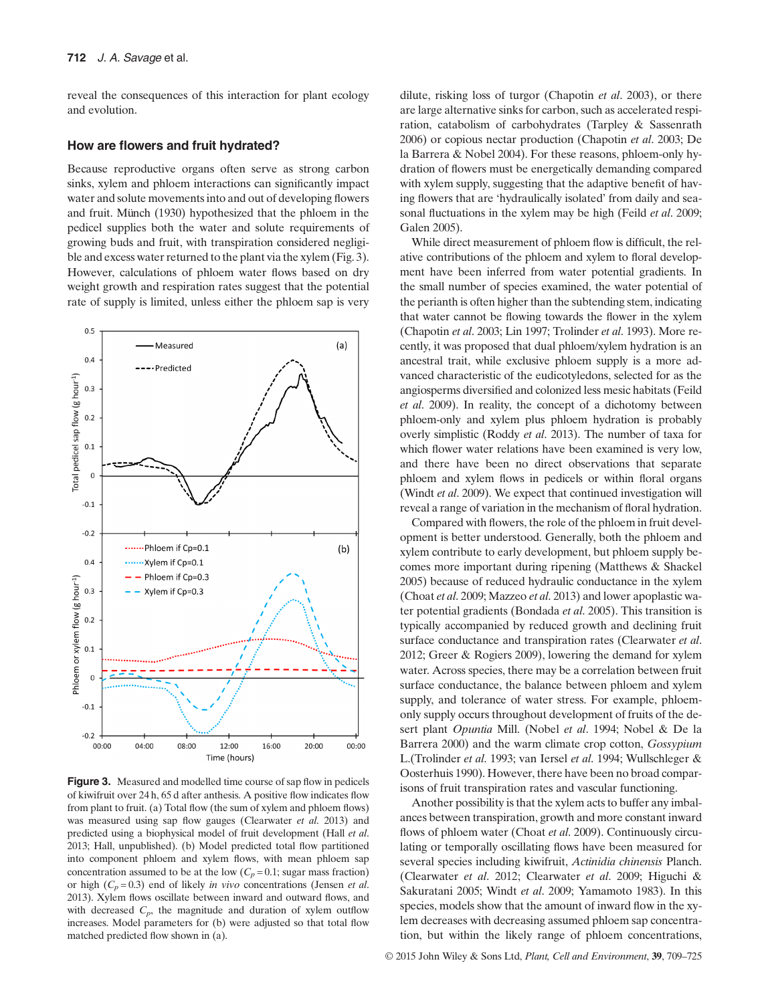reveal the consequences of this interaction for plant ecology and evolution.

#### How are flowers and fruit hydrated?

Because reproductive organs often serve as strong carbon sinks, xylem and phloem interactions can significantly impact water and solute movements into and out of developing flowers and fruit. Münch (1930) hypothesized that the phloem in the pedicel supplies both the water and solute requirements of growing buds and fruit, with transpiration considered negligible and excess water returned to the plant via the xylem (Fig. 3). However, calculations of phloem water flows based on dry weight growth and respiration rates suggest that the potential rate of supply is limited, unless either the phloem sap is very



Figure 3. Measured and modelled time course of sap flow in pedicels of kiwifruit over 24 h, 65 d after anthesis. A positive flow indicates flow from plant to fruit. (a) Total flow (the sum of xylem and phloem flows) was measured using sap flow gauges (Clearwater et al. 2013) and predicted using a biophysical model of fruit development (Hall et al. 2013; Hall, unpublished). (b) Model predicted total flow partitioned into component phloem and xylem flows, with mean phloem sap concentration assumed to be at the low  $(C_p = 0.1;$  sugar mass fraction) or high  $(C_p = 0.3)$  end of likely in vivo concentrations (Jensen *et al.*) 2013). Xylem flows oscillate between inward and outward flows, and with decreased  $C_p$ , the magnitude and duration of xylem outflow increases. Model parameters for (b) were adjusted so that total flow matched predicted flow shown in (a).

dilute, risking loss of turgor (Chapotin et al. 2003), or there are large alternative sinks for carbon, such as accelerated respiration, catabolism of carbohydrates (Tarpley & Sassenrath 2006) or copious nectar production (Chapotin et al. 2003; De la Barrera & Nobel 2004). For these reasons, phloem-only hydration of flowers must be energetically demanding compared with xylem supply, suggesting that the adaptive benefit of having flowers that are 'hydraulically isolated' from daily and seasonal fluctuations in the xylem may be high (Feild *et al.* 2009; Galen 2005).

While direct measurement of phloem flow is difficult, the relative contributions of the phloem and xylem to floral development have been inferred from water potential gradients. In the small number of species examined, the water potential of the perianth is often higher than the subtending stem, indicating that water cannot be flowing towards the flower in the xylem (Chapotin et al. 2003; Lin 1997; Trolinder et al. 1993). More recently, it was proposed that dual phloem/xylem hydration is an ancestral trait, while exclusive phloem supply is a more advanced characteristic of the eudicotyledons, selected for as the angiosperms diversified and colonized less mesic habitats (Feild et al. 2009). In reality, the concept of a dichotomy between phloem-only and xylem plus phloem hydration is probably overly simplistic (Roddy et al. 2013). The number of taxa for which flower water relations have been examined is very low, and there have been no direct observations that separate phloem and xylem flows in pedicels or within floral organs (Windt et al. 2009). We expect that continued investigation will reveal a range of variation in the mechanism of floral hydration.

Compared with flowers, the role of the phloem in fruit development is better understood. Generally, both the phloem and xylem contribute to early development, but phloem supply becomes more important during ripening (Matthews & Shackel 2005) because of reduced hydraulic conductance in the xylem (Choat et al. 2009; Mazzeo et al. 2013) and lower apoplastic water potential gradients (Bondada et al. 2005). This transition is typically accompanied by reduced growth and declining fruit surface conductance and transpiration rates (Clearwater et al. 2012; Greer & Rogiers 2009), lowering the demand for xylem water. Across species, there may be a correlation between fruit surface conductance, the balance between phloem and xylem supply, and tolerance of water stress. For example, phloemonly supply occurs throughout development of fruits of the desert plant Opuntia Mill. (Nobel et al. 1994; Nobel & De la Barrera 2000) and the warm climate crop cotton, Gossypium L.(Trolinder et al. 1993; van Iersel et al. 1994; Wullschleger & Oosterhuis 1990). However, there have been no broad comparisons of fruit transpiration rates and vascular functioning.

Another possibility is that the xylem acts to buffer any imbalances between transpiration, growth and more constant inward flows of phloem water (Choat et al. 2009). Continuously circulating or temporally oscillating flows have been measured for several species including kiwifruit, Actinidia chinensis Planch. (Clearwater et al. 2012; Clearwater et al. 2009; Higuchi & Sakuratani 2005; Windt et al. 2009; Yamamoto 1983). In this species, models show that the amount of inward flow in the xylem decreases with decreasing assumed phloem sap concentration, but within the likely range of phloem concentrations,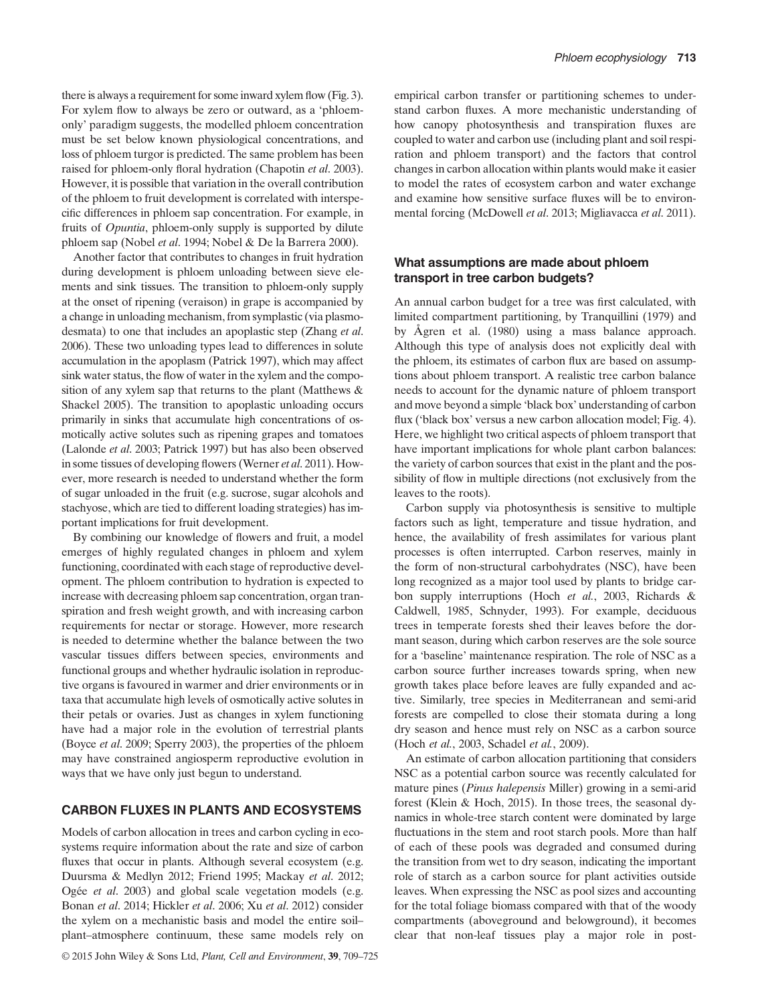there is always a requirement for some inward xylem flow (Fig. 3). For xylem flow to always be zero or outward, as a 'phloemonly' paradigm suggests, the modelled phloem concentration must be set below known physiological concentrations, and loss of phloem turgor is predicted. The same problem has been raised for phloem-only floral hydration (Chapotin et al. 2003). However, it is possible that variation in the overall contribution of the phloem to fruit development is correlated with interspecific differences in phloem sap concentration. For example, in fruits of Opuntia, phloem-only supply is supported by dilute phloem sap (Nobel et al. 1994; Nobel & De la Barrera 2000).

Another factor that contributes to changes in fruit hydration during development is phloem unloading between sieve elements and sink tissues. The transition to phloem-only supply at the onset of ripening (veraison) in grape is accompanied by a change in unloading mechanism, from symplastic (via plasmodesmata) to one that includes an apoplastic step (Zhang et al. 2006). These two unloading types lead to differences in solute accumulation in the apoplasm (Patrick 1997), which may affect sink water status, the flow of water in the xylem and the composition of any xylem sap that returns to the plant (Matthews & Shackel 2005). The transition to apoplastic unloading occurs primarily in sinks that accumulate high concentrations of osmotically active solutes such as ripening grapes and tomatoes (Lalonde et al. 2003; Patrick 1997) but has also been observed in some tissues of developing flowers (Werner et al. 2011). However, more research is needed to understand whether the form of sugar unloaded in the fruit (e.g. sucrose, sugar alcohols and stachyose, which are tied to different loading strategies) has important implications for fruit development.

By combining our knowledge of flowers and fruit, a model emerges of highly regulated changes in phloem and xylem functioning, coordinated with each stage of reproductive development. The phloem contribution to hydration is expected to increase with decreasing phloem sap concentration, organ transpiration and fresh weight growth, and with increasing carbon requirements for nectar or storage. However, more research is needed to determine whether the balance between the two vascular tissues differs between species, environments and functional groups and whether hydraulic isolation in reproductive organs is favoured in warmer and drier environments or in taxa that accumulate high levels of osmotically active solutes in their petals or ovaries. Just as changes in xylem functioning have had a major role in the evolution of terrestrial plants (Boyce et al. 2009; Sperry 2003), the properties of the phloem may have constrained angiosperm reproductive evolution in ways that we have only just begun to understand.

## CARBON FLUXES IN PLANTS AND ECOSYSTEMS

Models of carbon allocation in trees and carbon cycling in ecosystems require information about the rate and size of carbon fluxes that occur in plants. Although several ecosystem (e.g. Duursma & Medlyn 2012; Friend 1995; Mackay et al. 2012; Ogée et al. 2003) and global scale vegetation models (e.g. Bonan et al. 2014; Hickler et al. 2006; Xu et al. 2012) consider the xylem on a mechanistic basis and model the entire soil– plant–atmosphere continuum, these same models rely on

empirical carbon transfer or partitioning schemes to understand carbon fluxes. A more mechanistic understanding of how canopy photosynthesis and transpiration fluxes are coupled to water and carbon use (including plant and soil respiration and phloem transport) and the factors that control changes in carbon allocation within plants would make it easier to model the rates of ecosystem carbon and water exchange and examine how sensitive surface fluxes will be to environmental forcing (McDowell *et al.* 2013; Migliavacca *et al.* 2011).

## What assumptions are made about phloem transport in tree carbon budgets?

An annual carbon budget for a tree was first calculated, with limited compartment partitioning, by Tranquillini (1979) and by Ågren et al. (1980) using a mass balance approach. Although this type of analysis does not explicitly deal with the phloem, its estimates of carbon flux are based on assumptions about phloem transport. A realistic tree carbon balance needs to account for the dynamic nature of phloem transport and move beyond a simple 'black box' understanding of carbon flux ('black box' versus a new carbon allocation model; Fig. 4). Here, we highlight two critical aspects of phloem transport that have important implications for whole plant carbon balances: the variety of carbon sources that exist in the plant and the possibility of flow in multiple directions (not exclusively from the leaves to the roots).

Carbon supply via photosynthesis is sensitive to multiple factors such as light, temperature and tissue hydration, and hence, the availability of fresh assimilates for various plant processes is often interrupted. Carbon reserves, mainly in the form of non-structural carbohydrates (NSC), have been long recognized as a major tool used by plants to bridge carbon supply interruptions (Hoch et al., 2003, Richards & Caldwell, 1985, Schnyder, 1993). For example, deciduous trees in temperate forests shed their leaves before the dormant season, during which carbon reserves are the sole source for a 'baseline' maintenance respiration. The role of NSC as a carbon source further increases towards spring, when new growth takes place before leaves are fully expanded and active. Similarly, tree species in Mediterranean and semi-arid forests are compelled to close their stomata during a long dry season and hence must rely on NSC as a carbon source (Hoch et al., 2003, Schadel et al., 2009).

An estimate of carbon allocation partitioning that considers NSC as a potential carbon source was recently calculated for mature pines (Pinus halepensis Miller) growing in a semi-arid forest (Klein & Hoch, 2015). In those trees, the seasonal dynamics in whole-tree starch content were dominated by large fluctuations in the stem and root starch pools. More than half of each of these pools was degraded and consumed during the transition from wet to dry season, indicating the important role of starch as a carbon source for plant activities outside leaves. When expressing the NSC as pool sizes and accounting for the total foliage biomass compared with that of the woody compartments (aboveground and belowground), it becomes clear that non-leaf tissues play a major role in post-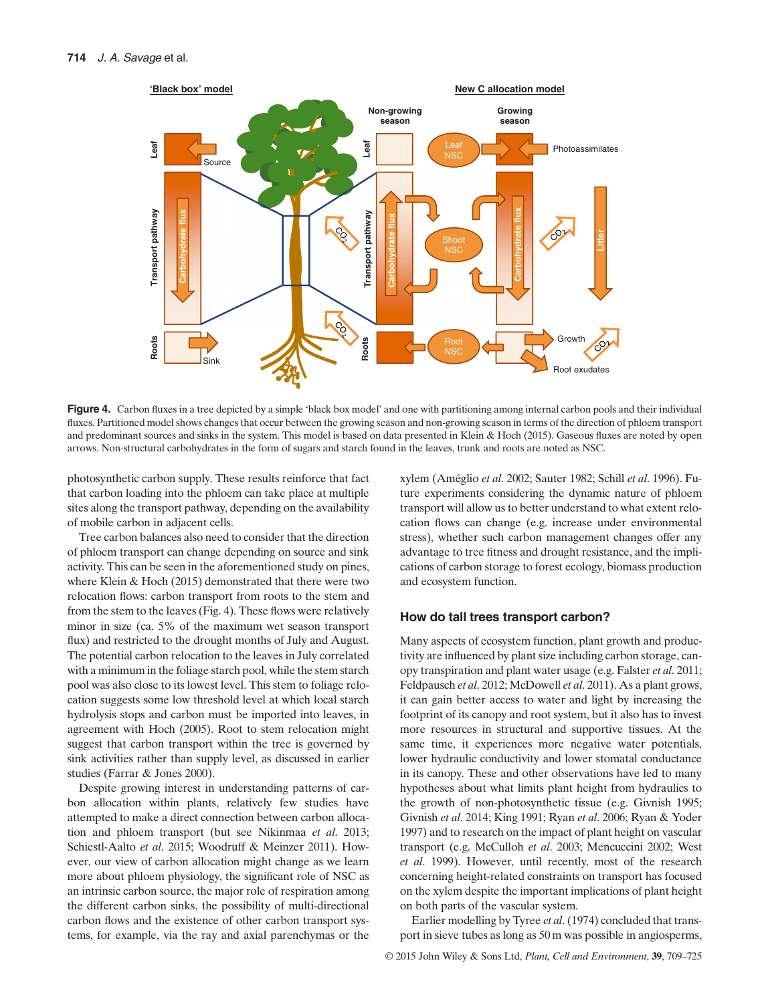

Figure 4. Carbon fluxes in a tree depicted by a simple 'black box model' and one with partitioning among internal carbon pools and their individual fluxes. Partitioned model shows changes that occur between the growing season and non-growing season in terms of the direction of phloem transport and predominant sources and sinks in the system. This model is based on data presented in Klein & Hoch (2015). Gaseous fluxes are noted by open arrows. Non-structural carbohydrates in the form of sugars and starch found in the leaves, trunk and roots are noted as NSC.

photosynthetic carbon supply. These results reinforce that fact that carbon loading into the phloem can take place at multiple sites along the transport pathway, depending on the availability of mobile carbon in adjacent cells.

Tree carbon balances also need to consider that the direction of phloem transport can change depending on source and sink activity. This can be seen in the aforementioned study on pines, where Klein & Hoch (2015) demonstrated that there were two relocation flows: carbon transport from roots to the stem and from the stem to the leaves (Fig. 4). These flows were relatively minor in size (ca. 5% of the maximum wet season transport flux) and restricted to the drought months of July and August. The potential carbon relocation to the leaves in July correlated with a minimum in the foliage starch pool, while the stem starch pool was also close to its lowest level. This stem to foliage relocation suggests some low threshold level at which local starch hydrolysis stops and carbon must be imported into leaves, in agreement with Hoch (2005). Root to stem relocation might suggest that carbon transport within the tree is governed by sink activities rather than supply level, as discussed in earlier studies (Farrar & Jones 2000).

Despite growing interest in understanding patterns of carbon allocation within plants, relatively few studies have attempted to make a direct connection between carbon allocation and phloem transport (but see Nikinmaa et al. 2013; Schiestl-Aalto et al. 2015; Woodruff & Meinzer 2011). However, our view of carbon allocation might change as we learn more about phloem physiology, the significant role of NSC as an intrinsic carbon source, the major role of respiration among the different carbon sinks, the possibility of multi-directional carbon flows and the existence of other carbon transport systems, for example, via the ray and axial parenchymas or the xylem (Améglio et al. 2002; Sauter 1982; Schill et al. 1996). Future experiments considering the dynamic nature of phloem transport will allow us to better understand to what extent relocation flows can change (e.g. increase under environmental stress), whether such carbon management changes offer any advantage to tree fitness and drought resistance, and the implications of carbon storage to forest ecology, biomass production and ecosystem function.

#### How do tall trees transport carbon?

Many aspects of ecosystem function, plant growth and productivity are influenced by plant size including carbon storage, canopy transpiration and plant water usage (e.g. Falster et al. 2011; Feldpausch et al. 2012; McDowell et al. 2011). As a plant grows, it can gain better access to water and light by increasing the footprint of its canopy and root system, but it also has to invest more resources in structural and supportive tissues. At the same time, it experiences more negative water potentials, lower hydraulic conductivity and lower stomatal conductance in its canopy. These and other observations have led to many hypotheses about what limits plant height from hydraulics to the growth of non-photosynthetic tissue (e.g. Givnish 1995; Givnish et al. 2014; King 1991; Ryan et al. 2006; Ryan & Yoder 1997) and to research on the impact of plant height on vascular transport (e.g. McCulloh et al. 2003; Mencuccini 2002; West et al. 1999). However, until recently, most of the research concerning height-related constraints on transport has focused on the xylem despite the important implications of plant height on both parts of the vascular system.

Earlier modelling by Tyree et al. (1974) concluded that transport in sieve tubes as long as 50 m was possible in angiosperms,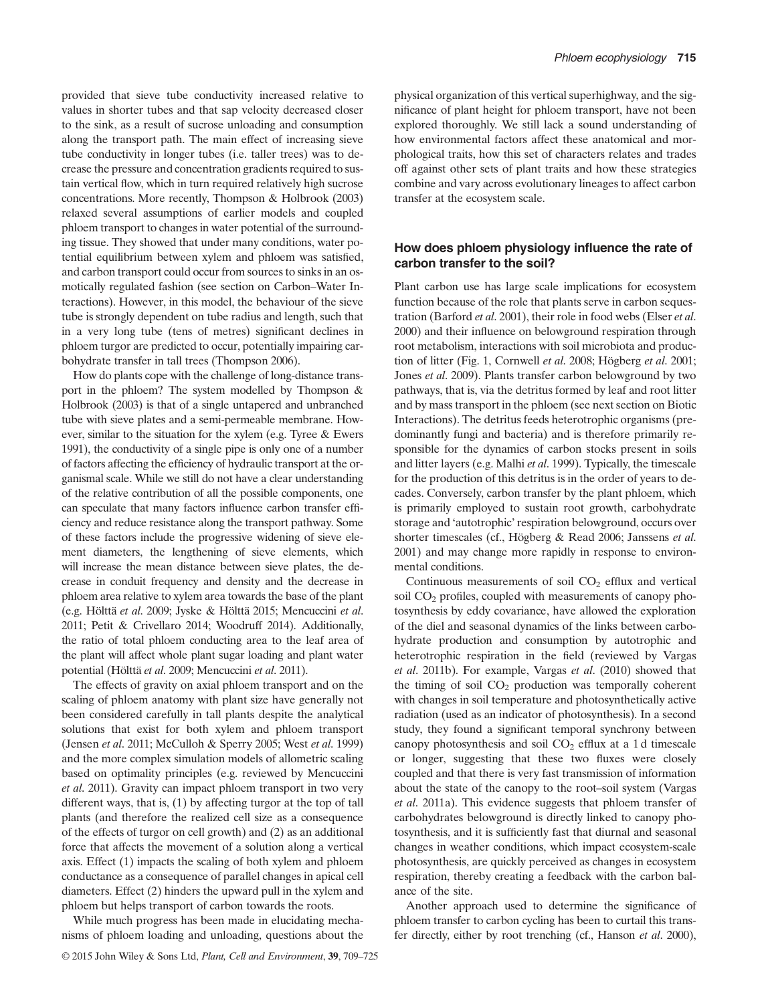provided that sieve tube conductivity increased relative to values in shorter tubes and that sap velocity decreased closer to the sink, as a result of sucrose unloading and consumption along the transport path. The main effect of increasing sieve tube conductivity in longer tubes (i.e. taller trees) was to decrease the pressure and concentration gradients required to sustain vertical flow, which in turn required relatively high sucrose concentrations. More recently, Thompson & Holbrook (2003) relaxed several assumptions of earlier models and coupled phloem transport to changes in water potential of the surrounding tissue. They showed that under many conditions, water potential equilibrium between xylem and phloem was satisfied, and carbon transport could occur from sources to sinks in an osmotically regulated fashion (see section on Carbon–Water Interactions). However, in this model, the behaviour of the sieve tube is strongly dependent on tube radius and length, such that in a very long tube (tens of metres) significant declines in phloem turgor are predicted to occur, potentially impairing carbohydrate transfer in tall trees (Thompson 2006).

How do plants cope with the challenge of long-distance transport in the phloem? The system modelled by Thompson & Holbrook (2003) is that of a single untapered and unbranched tube with sieve plates and a semi-permeable membrane. However, similar to the situation for the xylem (e.g. Tyree & Ewers 1991), the conductivity of a single pipe is only one of a number of factors affecting the efficiency of hydraulic transport at the organismal scale. While we still do not have a clear understanding of the relative contribution of all the possible components, one can speculate that many factors influence carbon transfer efficiency and reduce resistance along the transport pathway. Some of these factors include the progressive widening of sieve element diameters, the lengthening of sieve elements, which will increase the mean distance between sieve plates, the decrease in conduit frequency and density and the decrease in phloem area relative to xylem area towards the base of the plant (e.g. Hölttä et al. 2009; Jyske & Hölttä 2015; Mencuccini et al. 2011; Petit & Crivellaro 2014; Woodruff 2014). Additionally, the ratio of total phloem conducting area to the leaf area of the plant will affect whole plant sugar loading and plant water potential (Hölttä et al. 2009; Mencuccini et al. 2011).

The effects of gravity on axial phloem transport and on the scaling of phloem anatomy with plant size have generally not been considered carefully in tall plants despite the analytical solutions that exist for both xylem and phloem transport (Jensen et al. 2011; McCulloh & Sperry 2005; West et al. 1999) and the more complex simulation models of allometric scaling based on optimality principles (e.g. reviewed by Mencuccini et al. 2011). Gravity can impact phloem transport in two very different ways, that is, (1) by affecting turgor at the top of tall plants (and therefore the realized cell size as a consequence of the effects of turgor on cell growth) and (2) as an additional force that affects the movement of a solution along a vertical axis. Effect (1) impacts the scaling of both xylem and phloem conductance as a consequence of parallel changes in apical cell diameters. Effect (2) hinders the upward pull in the xylem and phloem but helps transport of carbon towards the roots.

While much progress has been made in elucidating mechanisms of phloem loading and unloading, questions about the physical organization of this vertical superhighway, and the significance of plant height for phloem transport, have not been explored thoroughly. We still lack a sound understanding of how environmental factors affect these anatomical and morphological traits, how this set of characters relates and trades off against other sets of plant traits and how these strategies combine and vary across evolutionary lineages to affect carbon transfer at the ecosystem scale.

## How does phloem physiology influence the rate of carbon transfer to the soil?

Plant carbon use has large scale implications for ecosystem function because of the role that plants serve in carbon sequestration (Barford et al. 2001), their role in food webs (Elser et al. 2000) and their influence on belowground respiration through root metabolism, interactions with soil microbiota and production of litter (Fig. 1, Cornwell et al. 2008; Högberg et al. 2001; Jones et al. 2009). Plants transfer carbon belowground by two pathways, that is, via the detritus formed by leaf and root litter and by mass transport in the phloem (see next section on Biotic Interactions). The detritus feeds heterotrophic organisms (predominantly fungi and bacteria) and is therefore primarily responsible for the dynamics of carbon stocks present in soils and litter layers (e.g. Malhi et al. 1999). Typically, the timescale for the production of this detritus is in the order of years to decades. Conversely, carbon transfer by the plant phloem, which is primarily employed to sustain root growth, carbohydrate storage and 'autotrophic' respiration belowground, occurs over shorter timescales (cf., Högberg & Read 2006; Janssens et al. 2001) and may change more rapidly in response to environmental conditions.

Continuous measurements of soil  $CO<sub>2</sub>$  efflux and vertical soil CO<sub>2</sub> profiles, coupled with measurements of canopy photosynthesis by eddy covariance, have allowed the exploration of the diel and seasonal dynamics of the links between carbohydrate production and consumption by autotrophic and heterotrophic respiration in the field (reviewed by Vargas et al. 2011b). For example, Vargas et al. (2010) showed that the timing of soil  $CO<sub>2</sub>$  production was temporally coherent with changes in soil temperature and photosynthetically active radiation (used as an indicator of photosynthesis). In a second study, they found a significant temporal synchrony between canopy photosynthesis and soil  $CO<sub>2</sub>$  efflux at a 1 d timescale or longer, suggesting that these two fluxes were closely coupled and that there is very fast transmission of information about the state of the canopy to the root–soil system (Vargas et al. 2011a). This evidence suggests that phloem transfer of carbohydrates belowground is directly linked to canopy photosynthesis, and it is sufficiently fast that diurnal and seasonal changes in weather conditions, which impact ecosystem-scale photosynthesis, are quickly perceived as changes in ecosystem respiration, thereby creating a feedback with the carbon balance of the site.

Another approach used to determine the significance of phloem transfer to carbon cycling has been to curtail this transfer directly, either by root trenching (cf., Hanson et al. 2000),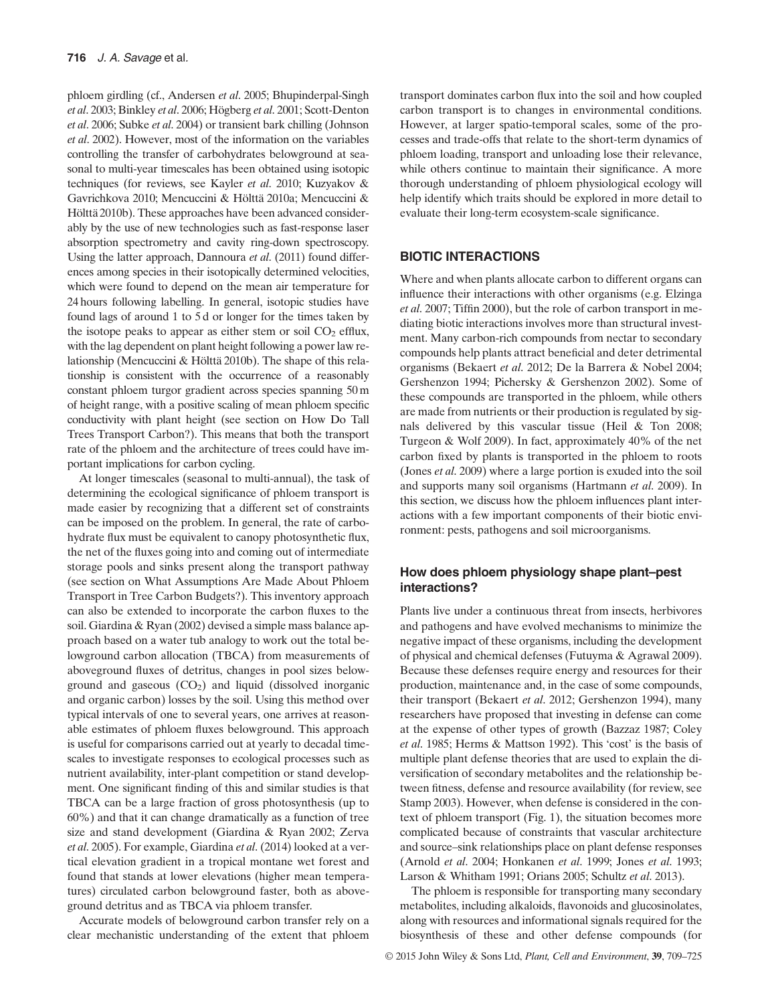phloem girdling (cf., Andersen et al. 2005; Bhupinderpal-Singh et al. 2003; Binkley et al. 2006; Högberg et al. 2001; Scott-Denton et al. 2006; Subke et al. 2004) or transient bark chilling (Johnson et al. 2002). However, most of the information on the variables controlling the transfer of carbohydrates belowground at seasonal to multi-year timescales has been obtained using isotopic techniques (for reviews, see Kayler et al. 2010; Kuzyakov & Gavrichkova 2010; Mencuccini & Hölttä 2010a; Mencuccini & Hölttä 2010b). These approaches have been advanced considerably by the use of new technologies such as fast-response laser absorption spectrometry and cavity ring-down spectroscopy. Using the latter approach, Dannoura *et al.* (2011) found differences among species in their isotopically determined velocities, which were found to depend on the mean air temperature for 24 hours following labelling. In general, isotopic studies have found lags of around 1 to 5 d or longer for the times taken by the isotope peaks to appear as either stem or soil  $CO<sub>2</sub>$  efflux, with the lag dependent on plant height following a power law relationship (Mencuccini & Hölttä 2010b). The shape of this relationship is consistent with the occurrence of a reasonably constant phloem turgor gradient across species spanning 50 m of height range, with a positive scaling of mean phloem specific conductivity with plant height (see section on How Do Tall Trees Transport Carbon?). This means that both the transport rate of the phloem and the architecture of trees could have important implications for carbon cycling.

At longer timescales (seasonal to multi-annual), the task of determining the ecological significance of phloem transport is made easier by recognizing that a different set of constraints can be imposed on the problem. In general, the rate of carbohydrate flux must be equivalent to canopy photosynthetic flux, the net of the fluxes going into and coming out of intermediate storage pools and sinks present along the transport pathway (see section on What Assumptions Are Made About Phloem Transport in Tree Carbon Budgets?). This inventory approach can also be extended to incorporate the carbon fluxes to the soil. Giardina & Ryan (2002) devised a simple mass balance approach based on a water tub analogy to work out the total belowground carbon allocation (TBCA) from measurements of aboveground fluxes of detritus, changes in pool sizes belowground and gaseous  $(CO<sub>2</sub>)$  and liquid (dissolved inorganic and organic carbon) losses by the soil. Using this method over typical intervals of one to several years, one arrives at reasonable estimates of phloem fluxes belowground. This approach is useful for comparisons carried out at yearly to decadal timescales to investigate responses to ecological processes such as nutrient availability, inter-plant competition or stand development. One significant finding of this and similar studies is that TBCA can be a large fraction of gross photosynthesis (up to 60%) and that it can change dramatically as a function of tree size and stand development (Giardina & Ryan 2002; Zerva et al. 2005). For example, Giardina et al. (2014) looked at a vertical elevation gradient in a tropical montane wet forest and found that stands at lower elevations (higher mean temperatures) circulated carbon belowground faster, both as aboveground detritus and as TBCA via phloem transfer.

Accurate models of belowground carbon transfer rely on a clear mechanistic understanding of the extent that phloem transport dominates carbon flux into the soil and how coupled carbon transport is to changes in environmental conditions. However, at larger spatio-temporal scales, some of the processes and trade-offs that relate to the short-term dynamics of phloem loading, transport and unloading lose their relevance, while others continue to maintain their significance. A more thorough understanding of phloem physiological ecology will help identify which traits should be explored in more detail to evaluate their long-term ecosystem-scale significance.

## BIOTIC INTERACTIONS

Where and when plants allocate carbon to different organs can influence their interactions with other organisms (e.g. Elzinga et al. 2007; Tiffin 2000), but the role of carbon transport in mediating biotic interactions involves more than structural investment. Many carbon-rich compounds from nectar to secondary compounds help plants attract beneficial and deter detrimental organisms (Bekaert et al. 2012; De la Barrera & Nobel 2004; Gershenzon 1994; Pichersky & Gershenzon 2002). Some of these compounds are transported in the phloem, while others are made from nutrients or their production is regulated by signals delivered by this vascular tissue (Heil & Ton 2008; Turgeon & Wolf 2009). In fact, approximately 40% of the net carbon fixed by plants is transported in the phloem to roots (Jones et al. 2009) where a large portion is exuded into the soil and supports many soil organisms (Hartmann et al. 2009). In this section, we discuss how the phloem influences plant interactions with a few important components of their biotic environment: pests, pathogens and soil microorganisms.

## How does phloem physiology shape plant–pest interactions?

Plants live under a continuous threat from insects, herbivores and pathogens and have evolved mechanisms to minimize the negative impact of these organisms, including the development of physical and chemical defenses (Futuyma & Agrawal 2009). Because these defenses require energy and resources for their production, maintenance and, in the case of some compounds, their transport (Bekaert et al. 2012; Gershenzon 1994), many researchers have proposed that investing in defense can come at the expense of other types of growth (Bazzaz 1987; Coley et al. 1985; Herms & Mattson 1992). This 'cost' is the basis of multiple plant defense theories that are used to explain the diversification of secondary metabolites and the relationship between fitness, defense and resource availability (for review, see Stamp 2003). However, when defense is considered in the context of phloem transport (Fig. 1), the situation becomes more complicated because of constraints that vascular architecture and source–sink relationships place on plant defense responses (Arnold et al. 2004; Honkanen et al. 1999; Jones et al. 1993; Larson & Whitham 1991; Orians 2005; Schultz et al. 2013).

The phloem is responsible for transporting many secondary metabolites, including alkaloids, flavonoids and glucosinolates, along with resources and informational signals required for the biosynthesis of these and other defense compounds (for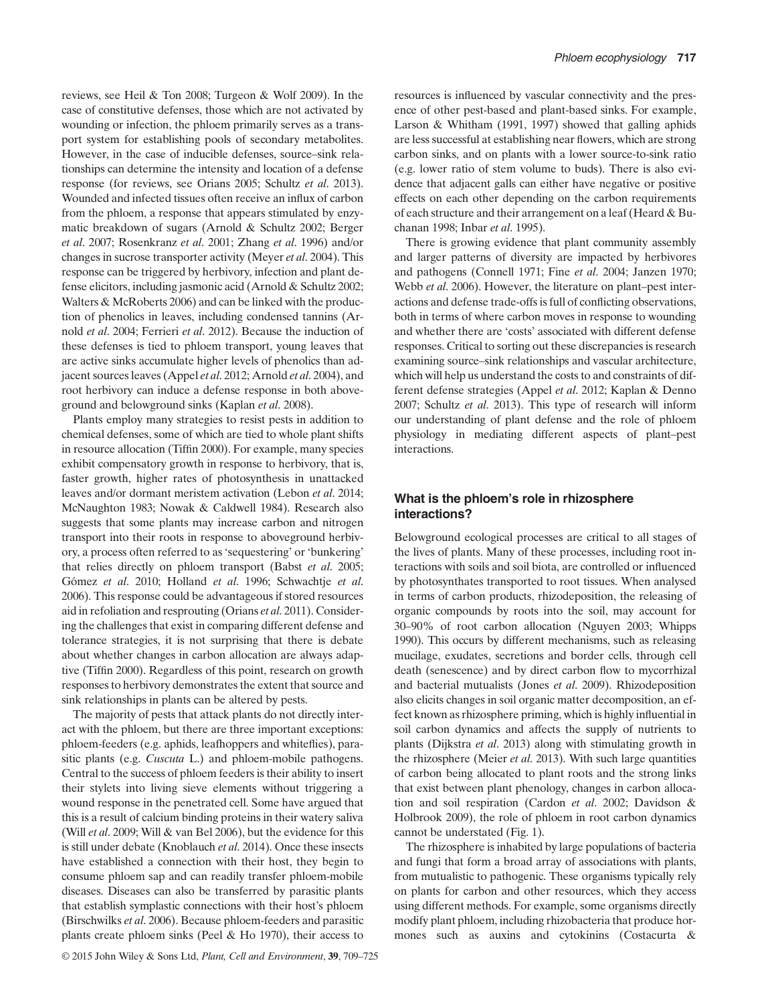reviews, see Heil & Ton 2008; Turgeon & Wolf 2009). In the case of constitutive defenses, those which are not activated by wounding or infection, the phloem primarily serves as a transport system for establishing pools of secondary metabolites. However, in the case of inducible defenses, source–sink relationships can determine the intensity and location of a defense response (for reviews, see Orians 2005; Schultz et al. 2013). Wounded and infected tissues often receive an influx of carbon from the phloem, a response that appears stimulated by enzymatic breakdown of sugars (Arnold & Schultz 2002; Berger et al. 2007; Rosenkranz et al. 2001; Zhang et al. 1996) and/or changes in sucrose transporter activity (Meyer et al. 2004). This response can be triggered by herbivory, infection and plant defense elicitors, including jasmonic acid (Arnold & Schultz 2002; Walters & McRoberts 2006) and can be linked with the production of phenolics in leaves, including condensed tannins (Arnold et al. 2004; Ferrieri et al. 2012). Because the induction of these defenses is tied to phloem transport, young leaves that are active sinks accumulate higher levels of phenolics than adjacent sources leaves (Appel et al. 2012; Arnold et al. 2004), and root herbivory can induce a defense response in both aboveground and belowground sinks (Kaplan et al. 2008).

Plants employ many strategies to resist pests in addition to chemical defenses, some of which are tied to whole plant shifts in resource allocation (Tiffin 2000). For example, many species exhibit compensatory growth in response to herbivory, that is, faster growth, higher rates of photosynthesis in unattacked leaves and/or dormant meristem activation (Lebon et al. 2014; McNaughton 1983; Nowak & Caldwell 1984). Research also suggests that some plants may increase carbon and nitrogen transport into their roots in response to aboveground herbivory, a process often referred to as 'sequestering' or 'bunkering' that relies directly on phloem transport (Babst et al. 2005; Gómez et al. 2010; Holland et al. 1996; Schwachtje et al. 2006). This response could be advantageous if stored resources aid in refoliation and resprouting (Orians et al. 2011). Considering the challenges that exist in comparing different defense and tolerance strategies, it is not surprising that there is debate about whether changes in carbon allocation are always adaptive (Tiffin 2000). Regardless of this point, research on growth responses to herbivory demonstrates the extent that source and sink relationships in plants can be altered by pests.

The majority of pests that attack plants do not directly interact with the phloem, but there are three important exceptions: phloem-feeders (e.g. aphids, leafhoppers and whiteflies), parasitic plants (e.g. Cuscuta L.) and phloem-mobile pathogens. Central to the success of phloem feeders is their ability to insert their stylets into living sieve elements without triggering a wound response in the penetrated cell. Some have argued that this is a result of calcium binding proteins in their watery saliva (Will et al. 2009; Will & van Bel 2006), but the evidence for this is still under debate (Knoblauch et al. 2014). Once these insects have established a connection with their host, they begin to consume phloem sap and can readily transfer phloem-mobile diseases. Diseases can also be transferred by parasitic plants that establish symplastic connections with their host's phloem (Birschwilks et al. 2006). Because phloem-feeders and parasitic plants create phloem sinks (Peel & Ho 1970), their access to

resources is influenced by vascular connectivity and the presence of other pest-based and plant-based sinks. For example, Larson & Whitham (1991, 1997) showed that galling aphids are less successful at establishing near flowers, which are strong carbon sinks, and on plants with a lower source-to-sink ratio (e.g. lower ratio of stem volume to buds). There is also evidence that adjacent galls can either have negative or positive effects on each other depending on the carbon requirements of each structure and their arrangement on a leaf (Heard & Buchanan 1998; Inbar et al. 1995).

There is growing evidence that plant community assembly and larger patterns of diversity are impacted by herbivores and pathogens (Connell 1971; Fine et al. 2004; Janzen 1970; Webb *et al.* 2006). However, the literature on plant–pest interactions and defense trade-offs is full of conflicting observations, both in terms of where carbon moves in response to wounding and whether there are 'costs' associated with different defense responses. Critical to sorting out these discrepancies is research examining source–sink relationships and vascular architecture, which will help us understand the costs to and constraints of different defense strategies (Appel et al. 2012; Kaplan & Denno 2007; Schultz et al. 2013). This type of research will inform our understanding of plant defense and the role of phloem physiology in mediating different aspects of plant–pest interactions.

## What is the phloem's role in rhizosphere interactions?

Belowground ecological processes are critical to all stages of the lives of plants. Many of these processes, including root interactions with soils and soil biota, are controlled or influenced by photosynthates transported to root tissues. When analysed in terms of carbon products, rhizodeposition, the releasing of organic compounds by roots into the soil, may account for 30–90% of root carbon allocation (Nguyen 2003; Whipps 1990). This occurs by different mechanisms, such as releasing mucilage, exudates, secretions and border cells, through cell death (senescence) and by direct carbon flow to mycorrhizal and bacterial mutualists (Jones et al. 2009). Rhizodeposition also elicits changes in soil organic matter decomposition, an effect known as rhizosphere priming, which is highly influential in soil carbon dynamics and affects the supply of nutrients to plants (Dijkstra et al. 2013) along with stimulating growth in the rhizosphere (Meier et al. 2013). With such large quantities of carbon being allocated to plant roots and the strong links that exist between plant phenology, changes in carbon allocation and soil respiration (Cardon et al. 2002; Davidson & Holbrook 2009), the role of phloem in root carbon dynamics cannot be understated (Fig. 1).

The rhizosphere is inhabited by large populations of bacteria and fungi that form a broad array of associations with plants, from mutualistic to pathogenic. These organisms typically rely on plants for carbon and other resources, which they access using different methods. For example, some organisms directly modify plant phloem, including rhizobacteria that produce hormones such as auxins and cytokinins (Costacurta &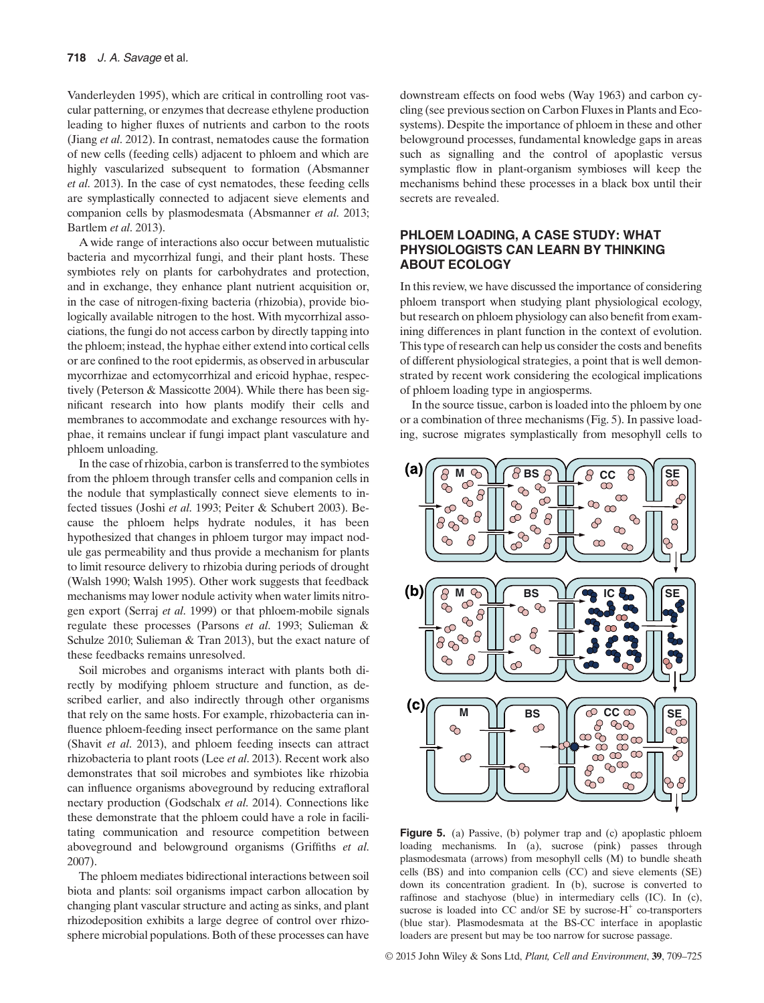Vanderleyden 1995), which are critical in controlling root vascular patterning, or enzymes that decrease ethylene production leading to higher fluxes of nutrients and carbon to the roots (Jiang et al. 2012). In contrast, nematodes cause the formation of new cells (feeding cells) adjacent to phloem and which are highly vascularized subsequent to formation (Absmanner et al. 2013). In the case of cyst nematodes, these feeding cells are symplastically connected to adjacent sieve elements and companion cells by plasmodesmata (Absmanner et al. 2013; Bartlem et al. 2013).

A wide range of interactions also occur between mutualistic bacteria and mycorrhizal fungi, and their plant hosts. These symbiotes rely on plants for carbohydrates and protection, and in exchange, they enhance plant nutrient acquisition or, in the case of nitrogen-fixing bacteria (rhizobia), provide biologically available nitrogen to the host. With mycorrhizal associations, the fungi do not access carbon by directly tapping into the phloem; instead, the hyphae either extend into cortical cells or are confined to the root epidermis, as observed in arbuscular mycorrhizae and ectomycorrhizal and ericoid hyphae, respectively (Peterson & Massicotte 2004). While there has been significant research into how plants modify their cells and membranes to accommodate and exchange resources with hyphae, it remains unclear if fungi impact plant vasculature and phloem unloading.

In the case of rhizobia, carbon is transferred to the symbiotes from the phloem through transfer cells and companion cells in the nodule that symplastically connect sieve elements to infected tissues (Joshi et al. 1993; Peiter & Schubert 2003). Because the phloem helps hydrate nodules, it has been hypothesized that changes in phloem turgor may impact nodule gas permeability and thus provide a mechanism for plants to limit resource delivery to rhizobia during periods of drought (Walsh 1990; Walsh 1995). Other work suggests that feedback mechanisms may lower nodule activity when water limits nitrogen export (Serraj et al. 1999) or that phloem-mobile signals regulate these processes (Parsons et al. 1993; Sulieman & Schulze 2010; Sulieman & Tran 2013), but the exact nature of these feedbacks remains unresolved.

Soil microbes and organisms interact with plants both directly by modifying phloem structure and function, as described earlier, and also indirectly through other organisms that rely on the same hosts. For example, rhizobacteria can influence phloem-feeding insect performance on the same plant (Shavit et al. 2013), and phloem feeding insects can attract rhizobacteria to plant roots (Lee et al. 2013). Recent work also demonstrates that soil microbes and symbiotes like rhizobia can influence organisms aboveground by reducing extrafloral nectary production (Godschalx et al. 2014). Connections like these demonstrate that the phloem could have a role in facilitating communication and resource competition between aboveground and belowground organisms (Griffiths et al. 2007).

The phloem mediates bidirectional interactions between soil biota and plants: soil organisms impact carbon allocation by changing plant vascular structure and acting as sinks, and plant rhizodeposition exhibits a large degree of control over rhizosphere microbial populations. Both of these processes can have downstream effects on food webs (Way 1963) and carbon cycling (see previous section on Carbon Fluxes in Plants and Ecosystems). Despite the importance of phloem in these and other belowground processes, fundamental knowledge gaps in areas such as signalling and the control of apoplastic versus symplastic flow in plant-organism symbioses will keep the mechanisms behind these processes in a black box until their secrets are revealed.

## PHLOEM LOADING, A CASE STUDY: WHAT PHYSIOLOGISTS CAN LEARN BY THINKING ABOUT ECOLOGY

In this review, we have discussed the importance of considering phloem transport when studying plant physiological ecology, but research on phloem physiology can also benefit from examining differences in plant function in the context of evolution. This type of research can help us consider the costs and benefits of different physiological strategies, a point that is well demonstrated by recent work considering the ecological implications of phloem loading type in angiosperms.

In the source tissue, carbon is loaded into the phloem by one or a combination of three mechanisms (Fig. 5). In passive loading, sucrose migrates symplastically from mesophyll cells to



Figure 5. (a) Passive, (b) polymer trap and (c) apoplastic phloem loading mechanisms. In (a), sucrose (pink) passes through plasmodesmata (arrows) from mesophyll cells (M) to bundle sheath cells (BS) and into companion cells (CC) and sieve elements (SE) down its concentration gradient. In (b), sucrose is converted to raffinose and stachyose (blue) in intermediary cells (IC). In (c), sucrose is loaded into CC and/or  $SE$  by sucrose- $H^+$  co-transporters (blue star). Plasmodesmata at the BS-CC interface in apoplastic loaders are present but may be too narrow for sucrose passage.

© 2015 John Wiley & Sons Ltd, Plant, Cell and Environment, 39, 709–725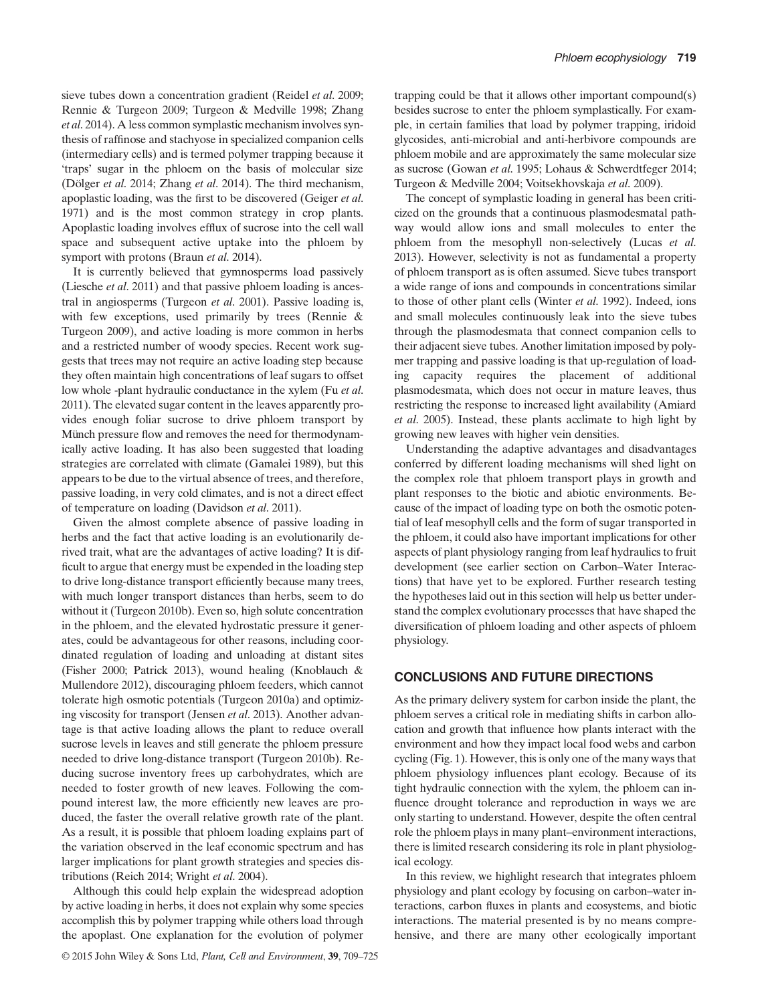sieve tubes down a concentration gradient (Reidel et al. 2009; Rennie & Turgeon 2009; Turgeon & Medville 1998; Zhang et al. 2014). A less common symplastic mechanism involves synthesis of raffinose and stachyose in specialized companion cells (intermediary cells) and is termed polymer trapping because it 'traps' sugar in the phloem on the basis of molecular size (Dölger et al. 2014; Zhang et al. 2014). The third mechanism, apoplastic loading, was the first to be discovered (Geiger et al. 1971) and is the most common strategy in crop plants. Apoplastic loading involves efflux of sucrose into the cell wall space and subsequent active uptake into the phloem by symport with protons (Braun *et al.* 2014).

It is currently believed that gymnosperms load passively (Liesche *et al.* 2011) and that passive phloem loading is ancestral in angiosperms (Turgeon et al. 2001). Passive loading is, with few exceptions, used primarily by trees (Rennie & Turgeon 2009), and active loading is more common in herbs and a restricted number of woody species. Recent work suggests that trees may not require an active loading step because they often maintain high concentrations of leaf sugars to offset low whole -plant hydraulic conductance in the xylem (Fu et al. 2011). The elevated sugar content in the leaves apparently provides enough foliar sucrose to drive phloem transport by Münch pressure flow and removes the need for thermodynamically active loading. It has also been suggested that loading strategies are correlated with climate (Gamalei 1989), but this appears to be due to the virtual absence of trees, and therefore, passive loading, in very cold climates, and is not a direct effect of temperature on loading (Davidson et al. 2011).

Given the almost complete absence of passive loading in herbs and the fact that active loading is an evolutionarily derived trait, what are the advantages of active loading? It is difficult to argue that energy must be expended in the loading step to drive long-distance transport efficiently because many trees, with much longer transport distances than herbs, seem to do without it (Turgeon 2010b). Even so, high solute concentration in the phloem, and the elevated hydrostatic pressure it generates, could be advantageous for other reasons, including coordinated regulation of loading and unloading at distant sites (Fisher 2000; Patrick 2013), wound healing (Knoblauch & Mullendore 2012), discouraging phloem feeders, which cannot tolerate high osmotic potentials (Turgeon 2010a) and optimizing viscosity for transport (Jensen et al. 2013). Another advantage is that active loading allows the plant to reduce overall sucrose levels in leaves and still generate the phloem pressure needed to drive long-distance transport (Turgeon 2010b). Reducing sucrose inventory frees up carbohydrates, which are needed to foster growth of new leaves. Following the compound interest law, the more efficiently new leaves are produced, the faster the overall relative growth rate of the plant. As a result, it is possible that phloem loading explains part of the variation observed in the leaf economic spectrum and has larger implications for plant growth strategies and species distributions (Reich 2014; Wright et al. 2004).

Although this could help explain the widespread adoption by active loading in herbs, it does not explain why some species accomplish this by polymer trapping while others load through the apoplast. One explanation for the evolution of polymer trapping could be that it allows other important compound(s) besides sucrose to enter the phloem symplastically. For example, in certain families that load by polymer trapping, iridoid glycosides, anti-microbial and anti-herbivore compounds are phloem mobile and are approximately the same molecular size as sucrose (Gowan et al. 1995; Lohaus & Schwerdtfeger 2014; Turgeon & Medville 2004; Voitsekhovskaja et al. 2009).

The concept of symplastic loading in general has been criticized on the grounds that a continuous plasmodesmatal pathway would allow ions and small molecules to enter the phloem from the mesophyll non-selectively (Lucas et al. 2013). However, selectivity is not as fundamental a property of phloem transport as is often assumed. Sieve tubes transport a wide range of ions and compounds in concentrations similar to those of other plant cells (Winter et al. 1992). Indeed, ions and small molecules continuously leak into the sieve tubes through the plasmodesmata that connect companion cells to their adjacent sieve tubes. Another limitation imposed by polymer trapping and passive loading is that up-regulation of loading capacity requires the placement of additional plasmodesmata, which does not occur in mature leaves, thus restricting the response to increased light availability (Amiard et al. 2005). Instead, these plants acclimate to high light by growing new leaves with higher vein densities.

Understanding the adaptive advantages and disadvantages conferred by different loading mechanisms will shed light on the complex role that phloem transport plays in growth and plant responses to the biotic and abiotic environments. Because of the impact of loading type on both the osmotic potential of leaf mesophyll cells and the form of sugar transported in the phloem, it could also have important implications for other aspects of plant physiology ranging from leaf hydraulics to fruit development (see earlier section on Carbon–Water Interactions) that have yet to be explored. Further research testing the hypotheses laid out in this section will help us better understand the complex evolutionary processes that have shaped the diversification of phloem loading and other aspects of phloem physiology.

### CONCLUSIONS AND FUTURE DIRECTIONS

As the primary delivery system for carbon inside the plant, the phloem serves a critical role in mediating shifts in carbon allocation and growth that influence how plants interact with the environment and how they impact local food webs and carbon cycling (Fig. 1). However, this is only one of the many ways that phloem physiology influences plant ecology. Because of its tight hydraulic connection with the xylem, the phloem can influence drought tolerance and reproduction in ways we are only starting to understand. However, despite the often central role the phloem plays in many plant–environment interactions, there is limited research considering its role in plant physiological ecology.

In this review, we highlight research that integrates phloem physiology and plant ecology by focusing on carbon–water interactions, carbon fluxes in plants and ecosystems, and biotic interactions. The material presented is by no means comprehensive, and there are many other ecologically important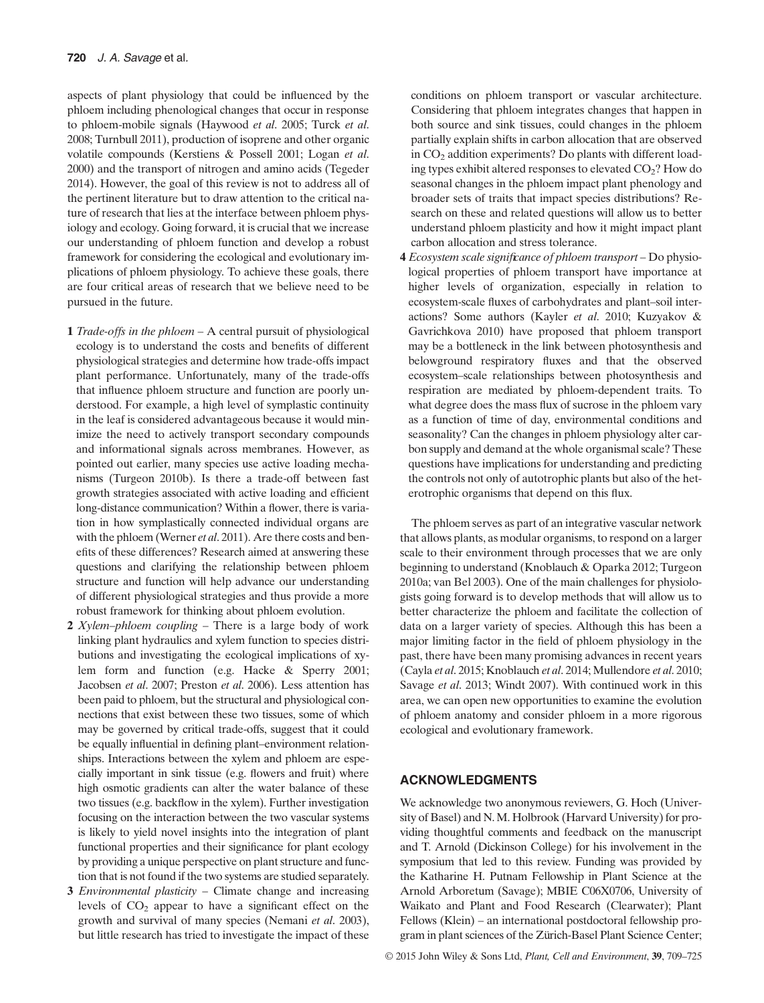aspects of plant physiology that could be influenced by the phloem including phenological changes that occur in response to phloem-mobile signals (Haywood et al. 2005; Turck et al. 2008; Turnbull 2011), production of isoprene and other organic volatile compounds (Kerstiens & Possell 2001; Logan et al. 2000) and the transport of nitrogen and amino acids (Tegeder 2014). However, the goal of this review is not to address all of the pertinent literature but to draw attention to the critical nature of research that lies at the interface between phloem physiology and ecology. Going forward, it is crucial that we increase our understanding of phloem function and develop a robust framework for considering the ecological and evolutionary implications of phloem physiology. To achieve these goals, there are four critical areas of research that we believe need to be pursued in the future.

- 1 Trade-offs in the phloem A central pursuit of physiological ecology is to understand the costs and benefits of different physiological strategies and determine how trade-offs impact plant performance. Unfortunately, many of the trade-offs that influence phloem structure and function are poorly understood. For example, a high level of symplastic continuity in the leaf is considered advantageous because it would minimize the need to actively transport secondary compounds and informational signals across membranes. However, as pointed out earlier, many species use active loading mechanisms (Turgeon 2010b). Is there a trade-off between fast growth strategies associated with active loading and efficient long-distance communication? Within a flower, there is variation in how symplastically connected individual organs are with the phloem (Werner *et al.* 2011). Are there costs and benefits of these differences? Research aimed at answering these questions and clarifying the relationship between phloem structure and function will help advance our understanding of different physiological strategies and thus provide a more robust framework for thinking about phloem evolution.
- 2 Xylem–phloem coupling There is a large body of work linking plant hydraulics and xylem function to species distributions and investigating the ecological implications of xylem form and function (e.g. Hacke & Sperry 2001; Jacobsen et al. 2007; Preston et al. 2006). Less attention has been paid to phloem, but the structural and physiological connections that exist between these two tissues, some of which may be governed by critical trade-offs, suggest that it could be equally influential in defining plant–environment relationships. Interactions between the xylem and phloem are especially important in sink tissue (e.g. flowers and fruit) where high osmotic gradients can alter the water balance of these two tissues (e.g. backflow in the xylem). Further investigation focusing on the interaction between the two vascular systems is likely to yield novel insights into the integration of plant functional properties and their significance for plant ecology by providing a unique perspective on plant structure and function that is not found if the two systems are studied separately.
- 3 *Environmental plasticity* Climate change and increasing levels of  $CO<sub>2</sub>$  appear to have a significant effect on the growth and survival of many species (Nemani et al. 2003), but little research has tried to investigate the impact of these

conditions on phloem transport or vascular architecture. Considering that phloem integrates changes that happen in both source and sink tissues, could changes in the phloem partially explain shifts in carbon allocation that are observed in  $CO<sub>2</sub>$  addition experiments? Do plants with different loading types exhibit altered responses to elevated  $CO<sub>2</sub>$ ? How do seasonal changes in the phloem impact plant phenology and broader sets of traits that impact species distributions? Research on these and related questions will allow us to better understand phloem plasticity and how it might impact plant carbon allocation and stress tolerance.

4 Ecosystem scale significance of phloem transport – Do physiological properties of phloem transport have importance at higher levels of organization, especially in relation to ecosystem-scale fluxes of carbohydrates and plant–soil interactions? Some authors (Kayler et al. 2010; Kuzyakov & Gavrichkova 2010) have proposed that phloem transport may be a bottleneck in the link between photosynthesis and belowground respiratory fluxes and that the observed ecosystem–scale relationships between photosynthesis and respiration are mediated by phloem-dependent traits. To what degree does the mass flux of sucrose in the phloem vary as a function of time of day, environmental conditions and seasonality? Can the changes in phloem physiology alter carbon supply and demand at the whole organismal scale? These questions have implications for understanding and predicting the controls not only of autotrophic plants but also of the heterotrophic organisms that depend on this flux.

The phloem serves as part of an integrative vascular network that allows plants, as modular organisms, to respond on a larger scale to their environment through processes that we are only beginning to understand (Knoblauch & Oparka 2012; Turgeon 2010a; van Bel 2003). One of the main challenges for physiologists going forward is to develop methods that will allow us to better characterize the phloem and facilitate the collection of data on a larger variety of species. Although this has been a major limiting factor in the field of phloem physiology in the past, there have been many promising advances in recent years (Cayla et al. 2015; Knoblauch et al. 2014; Mullendore et al. 2010; Savage et al. 2013; Windt 2007). With continued work in this area, we can open new opportunities to examine the evolution of phloem anatomy and consider phloem in a more rigorous ecological and evolutionary framework.

# ACKNOWLEDGMENTS

We acknowledge two anonymous reviewers, G. Hoch (University of Basel) and N.M. Holbrook (Harvard University) for providing thoughtful comments and feedback on the manuscript and T. Arnold (Dickinson College) for his involvement in the symposium that led to this review. Funding was provided by the Katharine H. Putnam Fellowship in Plant Science at the Arnold Arboretum (Savage); MBIE C06X0706, University of Waikato and Plant and Food Research (Clearwater); Plant Fellows (Klein) – an international postdoctoral fellowship program in plant sciences of the Zürich-Basel Plant Science Center;

© 2015 John Wiley & Sons Ltd, Plant, Cell and Environment, 39, 709–725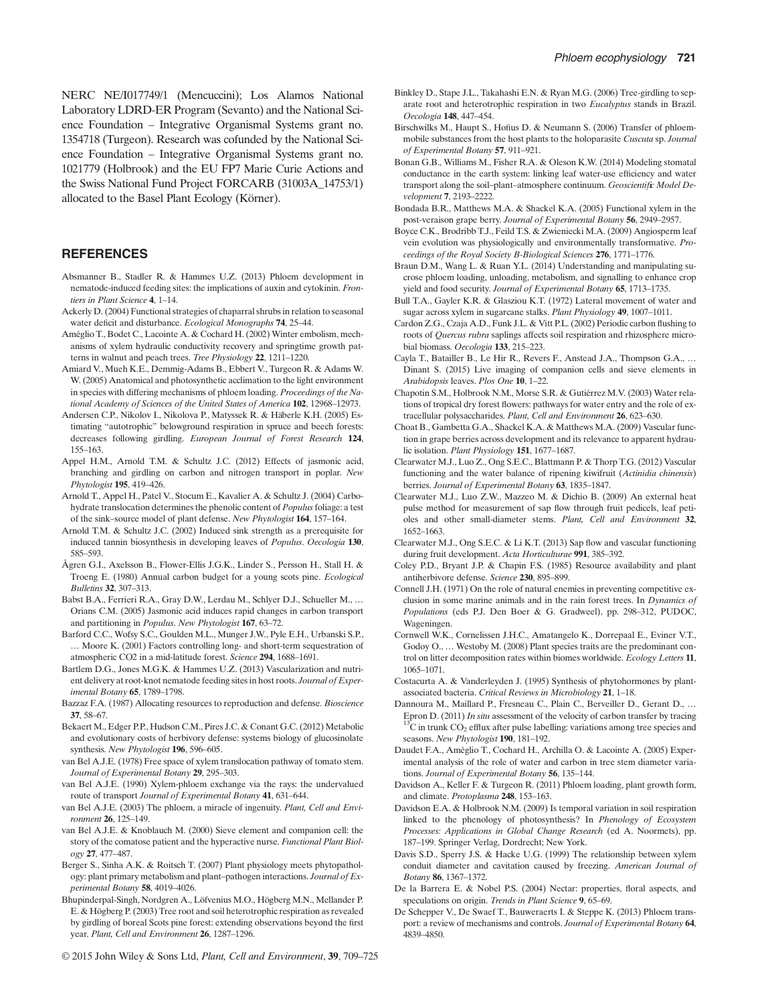NERC NE/I017749/1 (Mencuccini); Los Alamos National Laboratory LDRD-ER Program (Sevanto) and the National Science Foundation – Integrative Organismal Systems grant no. 1354718 (Turgeon). Research was cofunded by the National Science Foundation – Integrative Organismal Systems grant no. 1021779 (Holbrook) and the EU FP7 Marie Curie Actions and the Swiss National Fund Project FORCARB (31003A\_14753/1) allocated to the Basel Plant Ecology (Körner).

#### **REFERENCES**

- Absmanner B., Stadler R. & Hammes U.Z. (2013) Phloem development in nematode-induced feeding sites: the implications of auxin and cytokinin. Frontiers in Plant Science 4, 1–14.
- Ackerly D. (2004) Functional strategies of chaparral shrubs in relation to seasonal water deficit and disturbance. Ecological Monographs 74, 25–44.
- Améglio T., Bodet C., Lacointe A. & Cochard H. (2002) Winter embolism, mechanisms of xylem hydraulic conductivity recovery and springtime growth patterns in walnut and peach trees. Tree Physiology 22, 1211–1220.
- Amiard V., Mueh K.E., Demmig-Adams B., Ebbert V., Turgeon R. & Adams W. W. (2005) Anatomical and photosynthetic acclimation to the light environment in species with differing mechanisms of phloem loading. Proceedings of the National Academy of Sciences of the United States of America 102, 12968–12973.
- Andersen C.P., Nikolov I., Nikolova P., Matyssek R. & Häberle K.H. (2005) Estimating "autotrophic" belowground respiration in spruce and beech forests: decreases following girdling. European Journal of Forest Research 124, 155–163.
- Appel H.M., Arnold T.M. & Schultz J.C. (2012) Effects of jasmonic acid, branching and girdling on carbon and nitrogen transport in poplar. New Phytologist 195, 419–426.
- Arnold T., Appel H., Patel V., Stocum E., Kavalier A. & Schultz J. (2004) Carbohydrate translocation determines the phenolic content of Populus foliage: a test of the sink–source model of plant defense. New Phytologist 164, 157–164.
- Arnold T.M. & Schultz J.C. (2002) Induced sink strength as a prerequisite for induced tannin biosynthesis in developing leaves of Populus. Oecologia 130, 585–593.
- Ågren G.I., Axelsson B., Flower-Ellis J.G.K., Linder S., Persson H., Stall H. & Troeng E. (1980) Annual carbon budget for a young scots pine. Ecological Bulletins 32, 307–313.
- Babst B.A., Ferrieri R.A., Gray D.W., Lerdau M., Schlyer D.J., Schueller M., … Orians C.M. (2005) Jasmonic acid induces rapid changes in carbon transport and partitioning in Populus. New Phytologist 167, 63–72.
- Barford C.C., Wofsy S.C., Goulden M.L., Munger J.W., Pyle E.H., Urbanski S.P., … Moore K. (2001) Factors controlling long- and short-term sequestration of atmospheric CO2 in a mid-latitude forest. Science 294, 1688–1691.
- Bartlem D.G., Jones M.G.K. & Hammes U.Z. (2013) Vascularization and nutrient delivery at root-knot nematode feeding sites in host roots. Journal of Experimental Botany 65, 1789–1798.
- Bazzaz F.A. (1987) Allocating resources to reproduction and defense. Bioscience 37, 58–67.
- Bekaert M., Edger P.P., Hudson C.M., Pires J.C. & Conant G.C. (2012) Metabolic and evolutionary costs of herbivory defense: systems biology of glucosinolate synthesis. New Phytologist 196, 596–605.
- van Bel A.J.E. (1978) Free space of xylem translocation pathway of tomato stem. Journal of Experimental Botany 29, 295–303.
- van Bel A.J.E. (1990) Xylem-phloem exchange via the rays: the undervalued route of transport Journal of Experimental Botany 41, 631–644.
- van Bel A.J.E. (2003) The phloem, a miracle of ingenuity. Plant, Cell and Environment 26, 125–149.
- van Bel A.J.E. & Knoblauch M. (2000) Sieve element and companion cell: the story of the comatose patient and the hyperactive nurse. Functional Plant Biology 27, 477–487.
- Berger S., Sinha A.K. & Roitsch T. (2007) Plant physiology meets phytopathology: plant primary metabolism and plant–pathogen interactions. Journal of Experimental Botany 58, 4019–4026.
- Bhupinderpal-Singh, Nordgren A., Löfvenius M.O., Högberg M.N., Mellander P. E. & Högberg P. (2003) Tree root and soil heterotrophic respiration as revealed by girdling of boreal Scots pine forest: extending observations beyond the first year. Plant, Cell and Environment 26, 1287–1296.
- Binkley D., Stape J.L., Takahashi E.N. & Ryan M.G. (2006) Tree-girdling to separate root and heterotrophic respiration in two Eucalyptus stands in Brazil. Oecologia 148, 447–454.
- Birschwilks M., Haupt S., Hofius D. & Neumann S. (2006) Transfer of phloemmobile substances from the host plants to the holoparasite Cuscuta sp. Journal of Experimental Botany 57, 911–921.
- Bonan G.B., Williams M., Fisher R.A. & Oleson K.W. (2014) Modeling stomatal conductance in the earth system: linking leaf water-use efficiency and water transport along the soil–plant–atmosphere continuum. Geoscientific Model Development 7, 2193–2222.
- Bondada B.R., Matthews M.A. & Shackel K.A. (2005) Functional xylem in the post-veraison grape berry. Journal of Experimental Botany 56, 2949–2957.
- Boyce C.K., Brodribb T.J., Feild T.S. & Zwieniecki M.A. (2009) Angiosperm leaf vein evolution was physiologically and environmentally transformative. Proceedings of the Royal Society B-Biological Sciences 276, 1771–1776.
- Braun D.M., Wang L. & Ruan Y.L. (2014) Understanding and manipulating sucrose phloem loading, unloading, metabolism, and signalling to enhance crop yield and food security. Journal of Experimental Botany 65, 1713–1735.
- Bull T.A., Gayler K.R. & Glasziou K.T. (1972) Lateral movement of water and sugar across xylem in sugarcane stalks. Plant Physiology 49, 1007–1011.
- Cardon Z.G., Czaja A.D., Funk J.L. & Vitt P.L. (2002) Periodic carbon flushing to roots of Quercus rubra saplings affects soil respiration and rhizosphere microbial biomass. Oecologia 133, 215–223.
- Cayla T., Batailler B., Le Hir R., Revers F., Anstead J.A., Thompson G.A., … Dinant S. (2015) Live imaging of companion cells and sieve elements in Arabidopsis leaves. Plos One 10, 1–22.
- Chapotin S.M., Holbrook N.M., Morse S.R. & Gutiérrez M.V. (2003) Water relations of tropical dry forest flowers: pathways for water entry and the role of extracellular polysaccharides. Plant, Cell and Environment 26, 623–630.
- Choat B., Gambetta G.A., Shackel K.A. & Matthews M.A. (2009) Vascular function in grape berries across development and its relevance to apparent hydraulic isolation. Plant Physiology 151, 1677–1687.
- Clearwater M.J., Luo Z., Ong S.E.C., Blattmann P. & Thorp T.G. (2012) Vascular functioning and the water balance of ripening kiwifruit (Actinidia chinensis) berries. Journal of Experimental Botany 63, 1835–1847.
- Clearwater M.J., Luo Z.W., Mazzeo M. & Dichio B. (2009) An external heat pulse method for measurement of sap flow through fruit pedicels, leaf petioles and other small-diameter stems. Plant, Cell and Environment 32, 1652–1663.
- Clearwater M.J., Ong S.E.C. & Li K.T. (2013) Sap flow and vascular functioning during fruit development. Acta Horticulturae 991, 385–392.
- Coley P.D., Bryant J.P. & Chapin F.S. (1985) Resource availability and plant antiherbivore defense. Science 230, 895–899.
- Connell J.H. (1971) On the role of natural enemies in preventing competitive exclusion in some marine animals and in the rain forest trees. In Dynamics of Populations (eds P.J. Den Boer & G. Gradweel), pp. 298–312, PUDOC, Wageningen.
- Cornwell W.K., Cornelissen J.H.C., Amatangelo K., Dorrepaal E., Eviner V.T., Godoy O., … Westoby M. (2008) Plant species traits are the predominant control on litter decomposition rates within biomes worldwide. Ecology Letters 11, 1065–1071.
- Costacurta A. & Vanderleyden J. (1995) Synthesis of phytohormones by plantassociated bacteria. Critical Reviews in Microbiology 21, 1–18.
- Dannoura M., Maillard P., Fresneau C., Plain C., Berveiller D., Gerant D., … Epron D. (2011) In situ assessment of the velocity of carbon transfer by tracing  $^{13}$ C in trunk CO<sub>2</sub> efflux after pulse labelling: variations among tree species and seasons. New Phytologist 190, 181-192.
- Daudet F.A., Améglio T., Cochard H., Archilla O. & Lacointe A. (2005) Experimental analysis of the role of water and carbon in tree stem diameter variations. Journal of Experimental Botany 56, 135–144.
- Davidson A., Keller F. & Turgeon R. (2011) Phloem loading, plant growth form, and climate. Protoplasma 248, 153–163.
- Davidson E.A. & Holbrook N.M. (2009) Is temporal variation in soil respiration linked to the phenology of photosynthesis? In Phenology of Ecosystem Processes: Applications in Global Change Research (ed A. Noormets), pp. 187–199. Springer Verlag, Dordrecht; New York.
- Davis S.D., Sperry J.S. & Hacke U.G. (1999) The relationship between xylem conduit diameter and cavitation caused by freezing. American Journal of Botany 86, 1367–1372.
- De la Barrera E. & Nobel P.S. (2004) Nectar: properties, floral aspects, and speculations on origin. Trends in Plant Science 9, 65–69.
- De Schepper V., De Swaef T., Bauweraerts I. & Steppe K. (2013) Phloem transport: a review of mechanisms and controls. Journal of Experimental Botany 64, 4839–4850.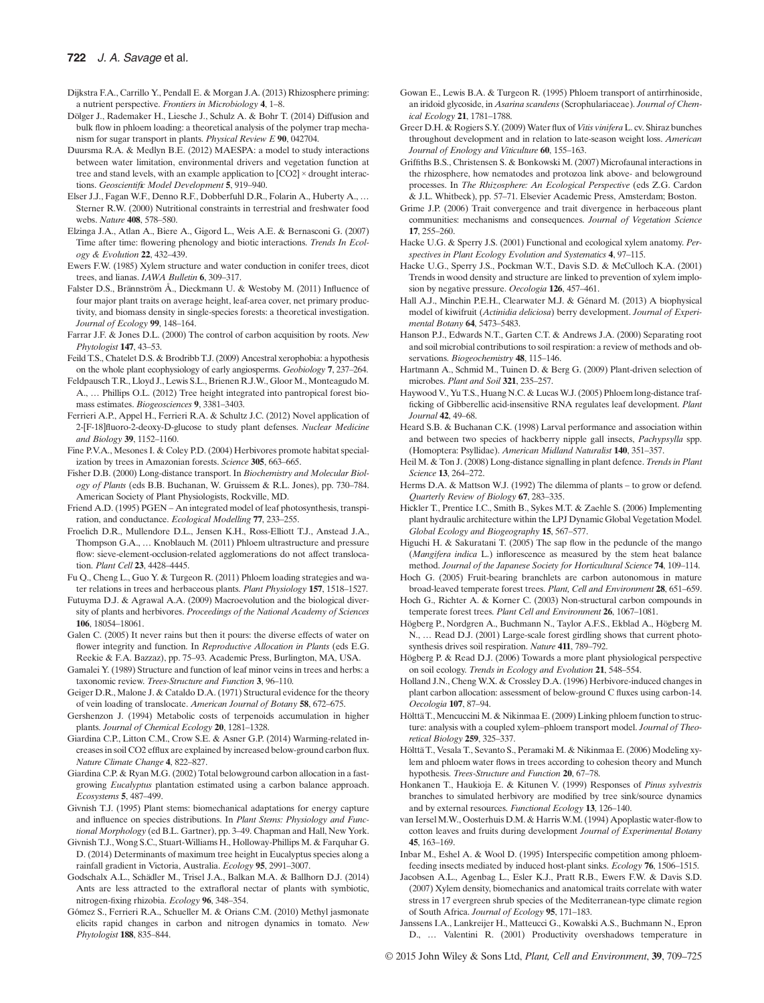- Dijkstra F.A., Carrillo Y., Pendall E. & Morgan J.A. (2013) Rhizosphere priming: a nutrient perspective. Frontiers in Microbiology 4, 1–8.
- Dölger J., Rademaker H., Liesche J., Schulz A. & Bohr T. (2014) Diffusion and bulk flow in phloem loading: a theoretical analysis of the polymer trap mechanism for sugar transport in plants. Physical Review E 90, 042704.
- Duursma R.A. & Medlyn B.E. (2012) MAESPA: a model to study interactions between water limitation, environmental drivers and vegetation function at tree and stand levels, with an example application to [CO2] × drought interactions. Geoscientific Model Development 5, 919–940.
- Elser J.J., Fagan W.F., Denno R.F., Dobberfuhl D.R., Folarin A., Huberty A., … Sterner R.W. (2000) Nutritional constraints in terrestrial and freshwater food webs. Nature 408, 578–580.
- Elzinga J.A., Atlan A., Biere A., Gigord L., Weis A.E. & Bernasconi G. (2007) Time after time: flowering phenology and biotic interactions. Trends In Ecology & Evolution 22, 432–439.
- Ewers F.W. (1985) Xylem structure and water conduction in conifer trees, dicot trees, and lianas. IAWA Bulletin 6, 309–317.
- Falster D.S., Brännström Å., Dieckmann U. & Westoby M. (2011) Influence of four major plant traits on average height, leaf-area cover, net primary productivity, and biomass density in single-species forests: a theoretical investigation. Journal of Ecology 99, 148–164.
- Farrar J.F. & Jones D.L. (2000) The control of carbon acquisition by roots. New Phytologist 147, 43–53.
- Feild T.S., Chatelet D.S. & Brodribb T.J. (2009) Ancestral xerophobia: a hypothesis on the whole plant ecophysiology of early angiosperms. Geobiology 7, 237–264.
- Feldpausch T.R., Lloyd J., Lewis S.L., Brienen R.J.W., Gloor M., Monteagudo M. A., … Phillips O.L. (2012) Tree height integrated into pantropical forest biomass estimates. Biogeosciences 9, 3381–3403.
- Ferrieri A.P., Appel H., Ferrieri R.A. & Schultz J.C. (2012) Novel application of 2-[F-18]fluoro-2-deoxy-D-glucose to study plant defenses. Nuclear Medicine and Biology 39, 1152–1160.
- Fine P.V.A., Mesones I. & Coley P.D. (2004) Herbivores promote habitat specialization by trees in Amazonian forests. Science 305, 663–665.
- Fisher D.B. (2000) Long-distance transport. In Biochemistry and Molecular Biology of Plants (eds B.B. Buchanan, W. Gruissem & R.L. Jones), pp. 730–784. American Society of Plant Physiologists, Rockville, MD.
- Friend A.D. (1995) PGEN An integrated model of leaf photosynthesis, transpiration, and conductance. Ecological Modelling 77, 233–255.
- Froelich D.R., Mullendore D.L., Jensen K.H., Ross-Elliott T.J., Anstead J.A., Thompson G.A., … Knoblauch M. (2011) Phloem ultrastructure and pressure flow: sieve-element-occlusion-related agglomerations do not affect translocation. Plant Cell 23, 4428–4445.
- Fu Q., Cheng L., Guo Y. & Turgeon R. (2011) Phloem loading strategies and water relations in trees and herbaceous plants. Plant Physiology 157, 1518–1527.
- Futuyma D.J. & Agrawal A.A. (2009) Macroevolution and the biological diversity of plants and herbivores. Proceedings of the National Academy of Sciences 106, 18054–18061.
- Galen C. (2005) It never rains but then it pours: the diverse effects of water on flower integrity and function. In Reproductive Allocation in Plants (eds E.G. Reekie & F.A. Bazzaz), pp. 75–93. Academic Press, Burlington, MA, USA.
- Gamalei Y. (1989) Structure and function of leaf minor veins in trees and herbs: a taxonomic review. Trees-Structure and Function 3, 96–110.
- Geiger D.R., Malone J. & Cataldo D.A. (1971) Structural evidence for the theory of vein loading of translocate. American Journal of Botany 58, 672–675.
- Gershenzon J. (1994) Metabolic costs of terpenoids accumulation in higher plants. Journal of Chemical Ecology 20, 1281–1328.
- Giardina C.P., Litton C.M., Crow S.E. & Asner G.P. (2014) Warming-related increases in soil CO2 efflux are explained by increased below-ground carbon flux. Nature Climate Change 4, 822–827.
- Giardina C.P. & Ryan M.G. (2002) Total belowground carbon allocation in a fastgrowing Eucalyptus plantation estimated using a carbon balance approach. Ecosystems 5, 487–499.
- Givnish T.J. (1995) Plant stems: biomechanical adaptations for energy capture and influence on species distributions. In Plant Stems: Physiology and Functional Morphology (ed B.L. Gartner), pp. 3–49. Chapman and Hall, New York.
- Givnish T.J., Wong S.C., Stuart-Williams H., Holloway-Phillips M. & Farquhar G. D. (2014) Determinants of maximum tree height in Eucalyptus species along a rainfall gradient in Victoria, Australia. Ecology 95, 2991–3007.
- Godschalx A.L., Schädler M., Trisel J.A., Balkan M.A. & Ballhorn D.J. (2014) Ants are less attracted to the extrafloral nectar of plants with symbiotic, nitrogen-fixing rhizobia. Ecology 96, 348–354.
- Gómez S., Ferrieri R.A., Schueller M. & Orians C.M. (2010) Methyl jasmonate elicits rapid changes in carbon and nitrogen dynamics in tomato. New Phytologist 188, 835–844.
- Gowan E., Lewis B.A. & Turgeon R. (1995) Phloem transport of antirrhinoside, an iridoid glycoside, in Asarina scandens (Scrophulariaceae). Journal of Chemical Ecology 21, 1781–1788.
- Greer D.H. & Rogiers S.Y. (2009) Water flux of Vitis vinifera L. cv. Shiraz bunches throughout development and in relation to late-season weight loss. American Journal of Enology and Viticulture 60, 155–163.
- Griffiths B.S., Christensen S. & Bonkowski M. (2007) Microfaunal interactions in the rhizosphere, how nematodes and protozoa link above- and belowground processes. In The Rhizosphere: An Ecological Perspective (eds Z.G. Cardon & J.L. Whitbeck), pp. 57–71. Elsevier Academic Press, Amsterdam; Boston.
- Grime J.P. (2006) Trait convergence and trait divergence in herbaceous plant communities: mechanisms and consequences. Journal of Vegetation Science 17, 255–260.
- Hacke U.G. & Sperry J.S. (2001) Functional and ecological xylem anatomy. Perspectives in Plant Ecology Evolution and Systematics 4, 97–115.
- Hacke U.G., Sperry J.S., Pockman W.T., Davis S.D. & McCulloch K.A. (2001) Trends in wood density and structure are linked to prevention of xylem implosion by negative pressure. Oecologia 126, 457-461.
- Hall A.J., Minchin P.E.H., Clearwater M.J. & Génard M. (2013) A biophysical model of kiwifruit (Actinidia deliciosa) berry development. Journal of Experimental Botany 64, 5473–5483.
- Hanson P.J., Edwards N.T., Garten C.T. & Andrews J.A. (2000) Separating root and soil microbial contributions to soil respiration: a review of methods and observations. Biogeochemistry 48, 115-146.
- Hartmann A., Schmid M., Tuinen D. & Berg G. (2009) Plant-driven selection of microbes. Plant and Soil 321, 235-257.
- Haywood V., Yu T.S., Huang N.C. & Lucas W.J. (2005) Phloem long-distance trafficking of Gibberellic acid-insensitive RNA regulates leaf development. Plant Journal 42, 49–68.
- Heard S.B. & Buchanan C.K. (1998) Larval performance and association within and between two species of hackberry nipple gall insects, Pachypsylla spp. (Homoptera: Psyllidae). American Midland Naturalist 140, 351–357.
- Heil M. & Ton J. (2008) Long-distance signalling in plant defence. Trends in Plant Science **13**, 264–272.
- Herms D.A. & Mattson W.J. (1992) The dilemma of plants to grow or defend. Quarterly Review of Biology 67, 283–335.
- Hickler T., Prentice I.C., Smith B., Sykes M.T. & Zaehle S. (2006) Implementing plant hydraulic architecture within the LPJ Dynamic Global Vegetation Model. Global Ecology and Biogeography 15, 567–577.
- Higuchi H. & Sakuratani T. (2005) The sap flow in the peduncle of the mango (Mangifera indica L.) inflorescence as measured by the stem heat balance method. Journal of the Japanese Society for Horticultural Science 74, 109–114.
- Hoch G. (2005) Fruit-bearing branchlets are carbon autonomous in mature broad-leaved temperate forest trees. Plant, Cell and Environment 28, 651–659.
- Hoch G., Richter A. & Korner C. (2003) Non-structural carbon compounds in temperate forest trees. Plant Cell and Environment 26, 1067–1081.
- Högberg P., Nordgren A., Buchmann N., Taylor A.F.S., Ekblad A., Högberg M. N., … Read D.J. (2001) Large-scale forest girdling shows that current photosynthesis drives soil respiration. Nature 411, 789–792.
- Högberg P. & Read D.J. (2006) Towards a more plant physiological perspective on soil ecology. Trends in Ecology and Evolution 21, 548–554.
- Holland J.N., Cheng W.X. & Crossley D.A. (1996) Herbivore-induced changes in plant carbon allocation: assessment of below-ground C fluxes using carbon-14. Oecologia 107, 87–94.
- Hölttä T., Mencuccini M. & Nikinmaa E. (2009) Linking phloem function to structure: analysis with a coupled xylem-phloem transport model. Journal of Theoretical Biology 259, 325–337.
- Hölttä T., Vesala T., Sevanto S., Peramaki M. & Nikinmaa E. (2006) Modeling xylem and phloem water flows in trees according to cohesion theory and Munch hypothesis. Trees-Structure and Function 20, 67–78.
- Honkanen T., Haukioja E. & Kitunen V. (1999) Responses of Pinus sylvestris branches to simulated herbivory are modified by tree sink/source dynamics and by external resources. Functional Ecology 13, 126–140.
- van Iersel M.W., Oosterhuis D.M. & Harris W.M. (1994) Apoplastic water-flow to cotton leaves and fruits during development Journal of Experimental Botany 45, 163–169.
- Inbar M., Eshel A. & Wool D. (1995) Interspecific competition among phloemfeeding insects mediated by induced host-plant sinks. Ecology 76, 1506–1515.
- Jacobsen A.L., Agenbag L., Esler K.J., Pratt R.B., Ewers F.W. & Davis S.D. (2007) Xylem density, biomechanics and anatomical traits correlate with water stress in 17 evergreen shrub species of the Mediterranean-type climate region of South Africa. Journal of Ecology 95, 171–183.
- Janssens I.A., Lankreijer H., Matteucci G., Kowalski A.S., Buchmann N., Epron D., … Valentini R. (2001) Productivity overshadows temperature in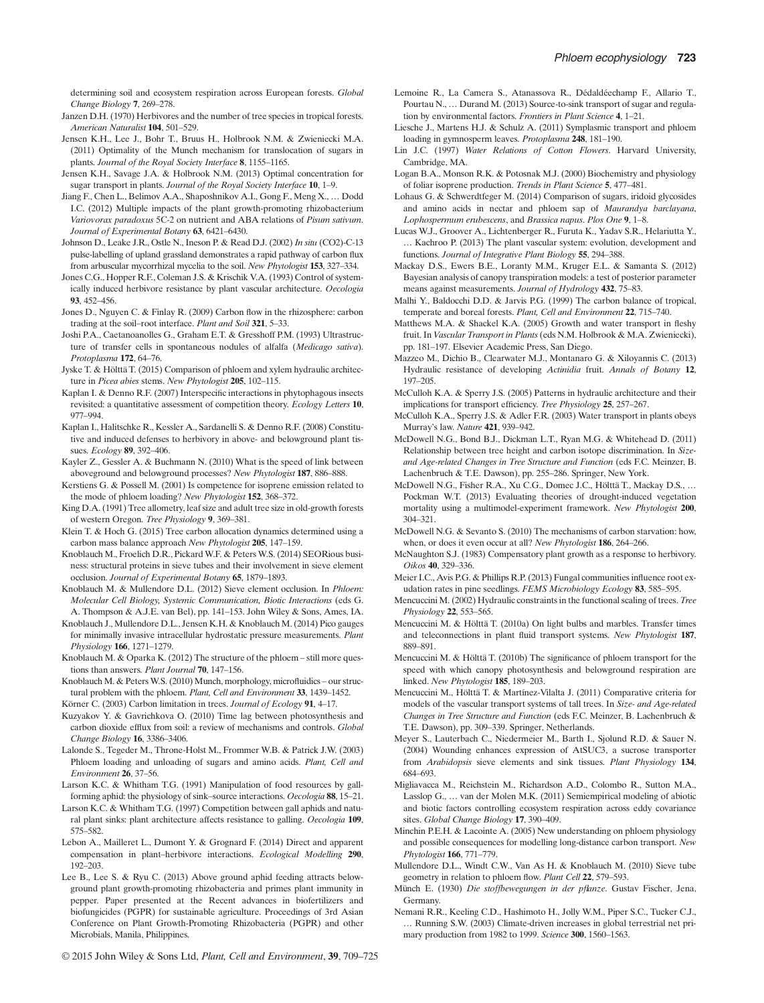- Janzen D.H. (1970) Herbivores and the number of tree species in tropical forests. American Naturalist 104, 501–529.
- Jensen K.H., Lee J., Bohr T., Bruus H., Holbrook N.M. & Zwieniecki M.A. (2011) Optimality of the Munch mechanism for translocation of sugars in plants. Journal of the Royal Society Interface 8, 1155–1165.
- Jensen K.H., Savage J.A. & Holbrook N.M. (2013) Optimal concentration for sugar transport in plants. Journal of the Royal Society Interface 10, 1–9.
- Jiang F., Chen L., Belimov A.A., Shaposhnikov A.I., Gong F., Meng X., … Dodd I.C. (2012) Multiple impacts of the plant growth-promoting rhizobacterium Variovorax paradoxus 5C-2 on nutrient and ABA relations of Pisum sativum. Journal of Experimental Botany 63, 6421–6430.
- Johnson D., Leake J.R., Ostle N., Ineson P. & Read D.J. (2002) In situ (CO2)-C-13 pulse-labelling of upland grassland demonstrates a rapid pathway of carbon flux from arbuscular mycorrhizal mycelia to the soil. New Phytologist 153, 327–334.
- Jones C.G., Hopper R.F., Coleman J.S. & Krischik V.A. (1993) Control of systemically induced herbivore resistance by plant vascular architecture. Oecologia 93, 452–456.
- Jones D., Nguyen C. & Finlay R. (2009) Carbon flow in the rhizosphere: carbon trading at the soil–root interface. Plant and Soil 321, 5–33.
- Joshi P.A., Caetanoanolles G., Graham E.T. & Gresshoff P.M. (1993) Ultrastructure of transfer cells in spontaneous nodules of alfalfa (Medicago sativa). Protoplasma 172, 64–76.
- Jyske T. & Hölttä T. (2015) Comparison of phloem and xylem hydraulic architecture in Picea abies stems. New Phytologist 205, 102–115.
- Kaplan I. & Denno R.F. (2007) Interspecific interactions in phytophagous insects revisited: a quantitative assessment of competition theory. Ecology Letters 10, 977–994.
- Kaplan I., Halitschke R., Kessler A., Sardanelli S. & Denno R.F. (2008) Constitutive and induced defenses to herbivory in above- and belowground plant tissues. Ecology 89, 392-406.
- Kayler Z., Gessler A. & Buchmann N. (2010) What is the speed of link between aboveground and belowground processes? New Phytologist 187, 886–888.
- Kerstiens G. & Possell M. (2001) Is competence for isoprene emission related to the mode of phloem loading? New Phytologist 152, 368–372.
- King D.A. (1991) Tree allometry, leaf size and adult tree size in old-growth forests of western Oregon. Tree Physiology 9, 369–381.
- Klein T. & Hoch G. (2015) Tree carbon allocation dynamics determined using a carbon mass balance approach New Phytologist 205, 147–159.
- Knoblauch M., Froelich D.R., Pickard W.F. & Peters W.S. (2014) SEORious business: structural proteins in sieve tubes and their involvement in sieve element occlusion. Journal of Experimental Botany 65, 1879–1893.
- Knoblauch M. & Mullendore D.L. (2012) Sieve element occlusion. In Phloem: Molecular Cell Biology, Systemic Communication, Biotic Interactions (eds G. A. Thompson & A.J.E. van Bel), pp. 141–153. John Wiley & Sons, Ames, IA.
- Knoblauch J., Mullendore D.L., Jensen K.H. & Knoblauch M. (2014) Pico gauges for minimally invasive intracellular hydrostatic pressure measurements. Plant Physiology 166, 1271–1279.
- Knoblauch M. & Oparka K. (2012) The structure of the phloem still more questions than answers. Plant Journal 70, 147–156.
- Knoblauch M. & Peters W.S. (2010) Munch, morphology, microfluidics our structural problem with the phloem. Plant, Cell and Environment 33, 1439–1452.
- Körner C. (2003) Carbon limitation in trees. Journal of Ecology 91, 4–17. Kuzyakov Y. & Gavrichkova O. (2010) Time lag between photosynthesis and
- carbon dioxide efflux from soil: a review of mechanisms and controls. Global Change Biology 16, 3386–3406.
- Lalonde S., Tegeder M., Throne-Holst M., Frommer W.B. & Patrick J.W. (2003) Phloem loading and unloading of sugars and amino acids. Plant, Cell and Environment 26, 37–56.
- Larson K.C. & Whitham T.G. (1991) Manipulation of food resources by gallforming aphid: the physiology of sink–source interactions. Oecologia 88, 15–21.
- Larson K.C. & Whitham T.G. (1997) Competition between gall aphids and natural plant sinks: plant architecture affects resistance to galling. Oecologia 109, 575–582.
- Lebon A., Mailleret L., Dumont Y. & Grognard F. (2014) Direct and apparent compensation in plant–herbivore interactions. Ecological Modelling 290, 192–203.
- Lee B., Lee S. & Ryu C. (2013) Above ground aphid feeding attracts belowground plant growth-promoting rhizobacteria and primes plant immunity in pepper. Paper presented at the Recent advances in biofertilizers and biofungicides (PGPR) for sustainable agriculture. Proceedings of 3rd Asian Conference on Plant Growth-Promoting Rhizobacteria (PGPR) and other Microbials, Manila, Philippines.
- Lemoine R., La Camera S., Atanassova R., Dédaldéechamp F., Allario T., Pourtau N., … Durand M. (2013) Source-to-sink transport of sugar and regulation by environmental factors. Frontiers in Plant Science 4, 1-21.
- Liesche J., Martens H.J. & Schulz A. (2011) Symplasmic transport and phloem loading in gymnosperm leaves. Protoplasma 248, 181–190.
- Lin J.C. (1997) Water Relations of Cotton Flowers. Harvard University, Cambridge, MA.
- Logan B.A., Monson R.K. & Potosnak M.J. (2000) Biochemistry and physiology of foliar isoprene production. Trends in Plant Science 5, 477–481.
- Lohaus G. & Schwerdtfeger M. (2014) Comparison of sugars, iridoid glycosides and amino acids in nectar and phloem sap of Maurandya barclayana, Lophospermum erubescens, and Brassica napus. Plos One 9, 1–8.
- Lucas W.J., Groover A., Lichtenberger R., Furuta K., Yadav S.R., Helariutta Y., … Kachroo P. (2013) The plant vascular system: evolution, development and functions. Journal of Integrative Plant Biology 55, 294–388.
- Mackay D.S., Ewers B.E., Loranty M.M., Kruger E.L. & Samanta S. (2012) Bayesian analysis of canopy transpiration models: a test of posterior parameter means against measurements. Journal of Hydrology 432, 75–83.
- Malhi Y., Baldocchi D.D. & Jarvis P.G. (1999) The carbon balance of tropical, temperate and boreal forests. Plant, Cell and Environment 22, 715–740.
- Matthews M.A. & Shackel K.A. (2005) Growth and water transport in fleshy fruit. In Vascular Transport in Plants(eds N.M. Holbrook & M.A. Zwieniecki), pp. 181–197. Elsevier Academic Press, San Diego.
- Mazzeo M., Dichio B., Clearwater M.J., Montanaro G. & Xiloyannis C. (2013) Hydraulic resistance of developing Actinidia fruit. Annals of Botany 12, 197–205.
- McCulloh K.A. & Sperry J.S. (2005) Patterns in hydraulic architecture and their implications for transport efficiency. Tree Physiology 25, 257–267.
- McCulloh K.A., Sperry J.S. & Adler F.R. (2003) Water transport in plants obeys Murray's law. Nature 421, 939–942.
- McDowell N.G., Bond B.J., Dickman L.T., Ryan M.G. & Whitehead D. (2011) Relationship between tree height and carbon isotope discrimination. In Sizeand Age-related Changes in Tree Structure and Function (eds F.C. Meinzer, B. Lachenbruch & T.E. Dawson), pp. 255–286. Springer, New York.
- McDowell N.G., Fisher R.A., Xu C.G., Domec J.C., Hölttä T., Mackay D.S., … Pockman W.T. (2013) Evaluating theories of drought-induced vegetation mortality using a multimodel-experiment framework. New Phytologist 200, 304–321.
- McDowell N.G. & Sevanto S. (2010) The mechanisms of carbon starvation: how, when, or does it even occur at all? New Phytologist 186, 264-266.
- McNaughton S.J. (1983) Compensatory plant growth as a response to herbivory. Oikos 40, 329–336.
- Meier I.C., Avis P.G. & Phillips R.P. (2013) Fungal communities influence root exudation rates in pine seedlings. FEMS Microbiology Ecology 83, 585–595.
- Mencuccini M. (2002) Hydraulic constraints in the functional scaling of trees. Tree Physiology 22, 553–565.
- Mencuccini M. & Hölttä T. (2010a) On light bulbs and marbles. Transfer times and teleconnections in plant fluid transport systems. New Phytologist 187, 889–891.
- Mencuccini M. & Hölttä T. (2010b) The significance of phloem transport for the speed with which canopy photosynthesis and belowground respiration are linked. New Phytologist 185, 189–203.
- Mencuccini M., Hölttä T. & Martínez-Vilalta J. (2011) Comparative criteria for models of the vascular transport systems of tall trees. In Size- and Age-related Changes in Tree Structure and Function (eds F.C. Meinzer, B. Lachenbruch & T.E. Dawson), pp. 309–339. Springer, Netherlands.
- Meyer S., Lauterbach C., Niedermeier M., Barth I., Sjolund R.D. & Sauer N. (2004) Wounding enhances expression of AtSUC3, a sucrose transporter from Arabidopsis sieve elements and sink tissues. Plant Physiology 134, 684–693.
- Migliavacca M., Reichstein M., Richardson A.D., Colombo R., Sutton M.A., Lasslop G., … van der Molen M.K. (2011) Semiempirical modeling of abiotic and biotic factors controlling ecosystem respiration across eddy covariance sites. Global Change Biology 17, 390–409.
- Minchin P.E.H. & Lacointe A. (2005) New understanding on phloem physiology and possible consequences for modelling long-distance carbon transport. New Phytologist 166, 771–779.
- Mullendore D.L., Windt C.W., Van As H. & Knoblauch M. (2010) Sieve tube geometry in relation to phloem flow. Plant Cell 22, 579–593.
- Münch E. (1930) Die stoffbewegungen in der pflanze. Gustav Fischer, Jena, Germany.
- Nemani R.R., Keeling C.D., Hashimoto H., Jolly W.M., Piper S.C., Tucker C.J., … Running S.W. (2003) Climate-driven increases in global terrestrial net primary production from 1982 to 1999. Science 300, 1560–1563.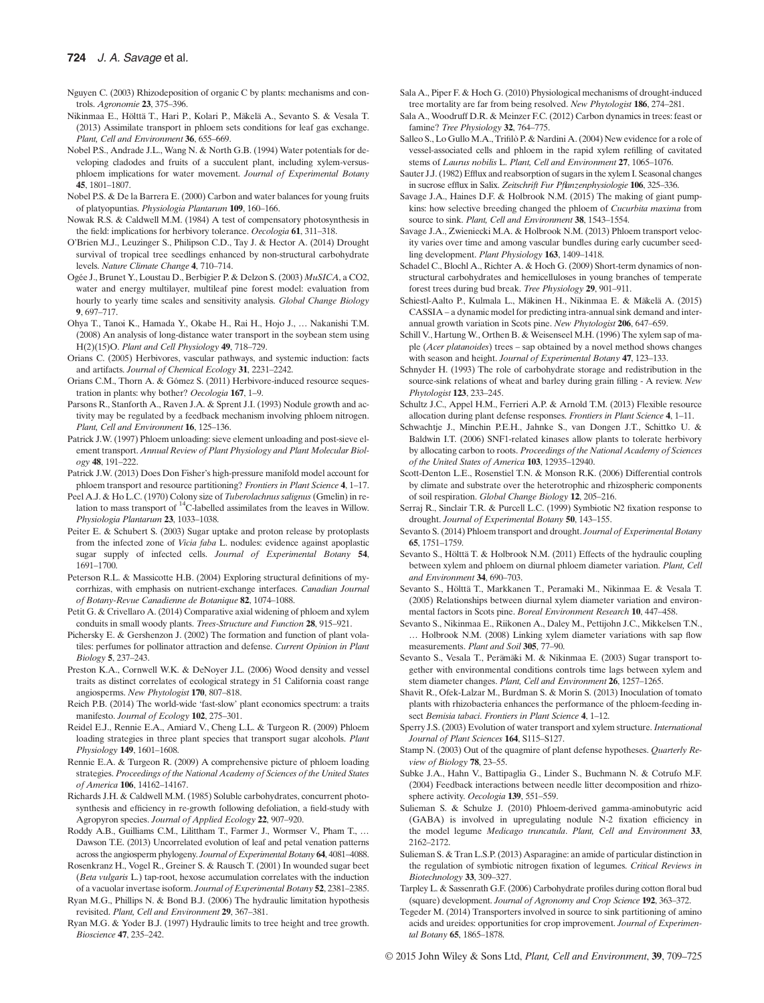- Nguyen C. (2003) Rhizodeposition of organic C by plants: mechanisms and controls. Agronomie 23, 375–396.
- Nikinmaa E., Hölttä T., Hari P., Kolari P., Mäkelä A., Sevanto S. & Vesala T. (2013) Assimilate transport in phloem sets conditions for leaf gas exchange. Plant, Cell and Environment 36, 655–669.
- Nobel P.S., Andrade J.L., Wang N. & North G.B. (1994) Water potentials for developing cladodes and fruits of a succulent plant, including xylem-versusphloem implications for water movement. Journal of Experimental Botany 45, 1801–1807.
- Nobel P.S. & De la Barrera E. (2000) Carbon and water balances for young fruits of platyopuntias. Physiologia Plantarum 109, 160–166.
- Nowak R.S. & Caldwell M.M. (1984) A test of compensatory photosynthesis in the field: implications for herbivory tolerance. Oecologia 61, 311–318.
- O'Brien M.J., Leuzinger S., Philipson C.D., Tay J. & Hector A. (2014) Drought survival of tropical tree seedlings enhanced by non-structural carbohydrate levels. Nature Climate Change 4, 710–714.
- Ogée J., Brunet Y., Loustau D., Berbigier P. & Delzon S. (2003) MuSICA, a CO2, water and energy multilayer, multileaf pine forest model: evaluation from hourly to yearly time scales and sensitivity analysis. Global Change Biology 9, 697–717.
- Ohya T., Tanoi K., Hamada Y., Okabe H., Rai H., Hojo J., … Nakanishi T.M. (2008) An analysis of long-distance water transport in the soybean stem using H(2)(15)O. Plant and Cell Physiology 49, 718–729.
- Orians C. (2005) Herbivores, vascular pathways, and systemic induction: facts and artifacts. Journal of Chemical Ecology 31, 2231–2242.
- Orians C.M., Thorn A. & Gómez S. (2011) Herbivore-induced resource sequestration in plants: why bother? Oecologia 167, 1–9.
- Parsons R., Stanforth A., Raven J.A. & Sprent J.I. (1993) Nodule growth and activity may be regulated by a feedback mechanism involving phloem nitrogen. Plant, Cell and Environment 16, 125–136.
- Patrick J.W. (1997) Phloem unloading: sieve element unloading and post-sieve element transport. Annual Review of Plant Physiology and Plant Molecular Biology 48, 191–222.
- Patrick J.W. (2013) Does Don Fisher's high-pressure manifold model account for phloem transport and resource partitioning? Frontiers in Plant Science 4, 1–17.
- Peel A.J. & Ho L.C. (1970) Colony size of Tuberolachnus salignus (Gmelin) in relation to mass transport of  $^{14}$ C-labelled assimilates from the leaves in Willow. Physiologia Plantarum 23, 1033–1038.
- Peiter E. & Schubert S. (2003) Sugar uptake and proton release by protoplasts from the infected zone of Vicia faba L. nodules: evidence against apoplastic sugar supply of infected cells. Journal of Experimental Botany 54, 1691–1700.
- Peterson R.L. & Massicotte H.B. (2004) Exploring structural definitions of mycorrhizas, with emphasis on nutrient-exchange interfaces. Canadian Journal of Botany-Revue Canadienne de Botanique 82, 1074–1088.
- Petit G. & Crivellaro A. (2014) Comparative axial widening of phloem and xylem conduits in small woody plants. Trees-Structure and Function 28, 915–921.
- Pichersky E. & Gershenzon J. (2002) The formation and function of plant volatiles: perfumes for pollinator attraction and defense. Current Opinion in Plant Biology 5, 237–243.
- Preston K.A., Cornwell W.K. & DeNoyer J.L. (2006) Wood density and vessel traits as distinct correlates of ecological strategy in 51 California coast range angiosperms. New Phytologist 170, 807–818.
- Reich P.B. (2014) The world-wide 'fast-slow' plant economics spectrum: a traits manifesto. Journal of Ecology 102, 275–301.
- Reidel E.J., Rennie E.A., Amiard V., Cheng L.L. & Turgeon R. (2009) Phloem loading strategies in three plant species that transport sugar alcohols. Plant Physiology 149, 1601–1608.
- Rennie E.A. & Turgeon R. (2009) A comprehensive picture of phloem loading strategies. Proceedings of the National Academy of Sciences of the United States of America 106, 14162–14167.
- Richards J.H. & Caldwell M.M. (1985) Soluble carbohydrates, concurrent photosynthesis and efficiency in re-growth following defoliation, a field-study with Agropyron species. Journal of Applied Ecology 22, 907–920.
- Roddy A.B., Guilliams C.M., Lilittham T., Farmer J., Wormser V., Pham T., … Dawson T.E. (2013) Uncorrelated evolution of leaf and petal venation patterns across the angiosperm phylogeny. Journal of Experimental Botany 64, 4081–4088.
- Rosenkranz H., Vogel R., Greiner S. & Rausch T. (2001) In wounded sugar beet (Beta vulgaris L.) tap-root, hexose accumulation correlates with the induction of a vacuolar invertase isoform. Journal of Experimental Botany 52, 2381–2385.
- Ryan M.G., Phillips N. & Bond B.J. (2006) The hydraulic limitation hypothesis revisited. Plant, Cell and Environment 29, 367–381.
- Ryan M.G. & Yoder B.J. (1997) Hydraulic limits to tree height and tree growth. Bioscience 47, 235–242.
- Sala A., Piper F. & Hoch G. (2010) Physiological mechanisms of drought-induced tree mortality are far from being resolved. New Phytologist 186, 274–281.
- Sala A., Woodruff D.R. & Meinzer F.C. (2012) Carbon dynamics in trees: feast or famine? Tree Physiology 32, 764-775.
- Salleo S., Lo Gullo M.A., Trifilò P. & Nardini A. (2004) New evidence for a role of vessel-associated cells and phloem in the rapid xylem refilling of cavitated stems of Laurus nobilis L. Plant, Cell and Environment 27, 1065–1076.
- Sauter J.J. (1982) Efflux and reabsorption of sugars in the xylem I. Seasonal changes in sucrose efflux in Salix. Zeitschrift Fur Pflanzenphysiologie 106, 325–336.
- Savage J.A., Haines D.F. & Holbrook N.M. (2015) The making of giant pumpkins: how selective breeding changed the phloem of Cucurbita maxima from source to sink. Plant, Cell and Environment 38, 1543-1554.
- Savage J.A., Zwieniecki M.A. & Holbrook N.M. (2013) Phloem transport velocity varies over time and among vascular bundles during early cucumber seedling development. Plant Physiology 163, 1409–1418.
- Schadel C., Blochl A., Richter A. & Hoch G. (2009) Short-term dynamics of nonstructural carbohydrates and hemicelluloses in young branches of temperate forest trees during bud break. Tree Physiology 29, 901–911.
- Schiestl-Aalto P., Kulmala L., Mäkinen H., Nikinmaa E. & Mäkelä A. (2015) CASSIA – a dynamic model for predicting intra-annual sink demand and interannual growth variation in Scots pine. New Phytologist 206, 647–659.
- Schill V., Hartung W., Orthen B. & Weisenseel M.H. (1996) The xylem sap of maple (Acer platanoides) trees – sap obtained by a novel method shows changes with season and height. Journal of Experimental Botany 47, 123-133.
- Schnyder H. (1993) The role of carbohydrate storage and redistribution in the source-sink relations of wheat and barley during grain filling - A review. New Phytologist 123, 233–245.
- Schultz J.C., Appel H.M., Ferrieri A.P. & Arnold T.M. (2013) Flexible resource allocation during plant defense responses. Frontiers in Plant Science 4, 1–11.
- Schwachtje J., Minchin P.E.H., Jahnke S., van Dongen J.T., Schittko U. & Baldwin I.T. (2006) SNF1-related kinases allow plants to tolerate herbivory by allocating carbon to roots. Proceedings of the National Academy of Sciences of the United States of America 103, 12935–12940.
- Scott-Denton L.E., Rosenstiel T.N. & Monson R.K. (2006) Differential controls by climate and substrate over the heterotrophic and rhizospheric components of soil respiration. Global Change Biology 12, 205–216.
- Serraj R., Sinclair T.R. & Purcell L.C. (1999) Symbiotic N2 fixation response to drought. Journal of Experimental Botany 50, 143–155.
- Sevanto S. (2014) Phloem transport and drought. Journal of Experimental Botany 65, 1751–1759.
- Sevanto S., Hölttä T. & Holbrook N.M. (2011) Effects of the hydraulic coupling between xylem and phloem on diurnal phloem diameter variation. Plant, Cell and Environment 34, 690–703.
- Sevanto S., Hölttä T., Markkanen T., Peramaki M., Nikinmaa E. & Vesala T. (2005) Relationships between diurnal xylem diameter variation and environmental factors in Scots pine. Boreal Environment Research 10, 447–458.
- Sevanto S., Nikinmaa E., Riikonen A., Daley M., Pettijohn J.C., Mikkelsen T.N., … Holbrook N.M. (2008) Linking xylem diameter variations with sap flow measurements. Plant and Soil 305, 77–90.
- Sevanto S., Vesala T., Perämäki M. & Nikinmaa E. (2003) Sugar transport together with environmental conditions controls time lags between xylem and stem diameter changes. Plant, Cell and Environment 26, 1257-1265.
- Shavit R., Ofek-Lalzar M., Burdman S. & Morin S. (2013) Inoculation of tomato plants with rhizobacteria enhances the performance of the phloem-feeding insect Bemisia tabaci. Frontiers in Plant Science 4, 1-12.
- Sperry J.S. (2003) Evolution of water transport and xylem structure. International Journal of Plant Sciences 164, S115–S127.
- Stamp N. (2003) Out of the quagmire of plant defense hypotheses. Quarterly Review of Biology 78, 23–55.
- Subke J.A., Hahn V., Battipaglia G., Linder S., Buchmann N. & Cotrufo M.F. (2004) Feedback interactions between needle litter decomposition and rhizosphere activity. Oecologia 139, 551-559.
- Sulieman S. & Schulze J. (2010) Phloem-derived gamma-aminobutyric acid (GABA) is involved in upregulating nodule N-2 fixation efficiency in the model legume Medicago truncatula. Plant, Cell and Environment 33, 2162–2172.
- Sulieman S. & Tran L.S.P. (2013) Asparagine: an amide of particular distinction in the regulation of symbiotic nitrogen fixation of legumes. Critical Reviews in Biotechnology 33, 309–327.
- Tarpley L. & Sassenrath G.F. (2006) Carbohydrate profiles during cotton floral bud (square) development. Journal of Agronomy and Crop Science 192, 363–372.
- Tegeder M. (2014) Transporters involved in source to sink partitioning of amino acids and ureides: opportunities for crop improvement. Journal of Experimental Botany 65, 1865–1878.